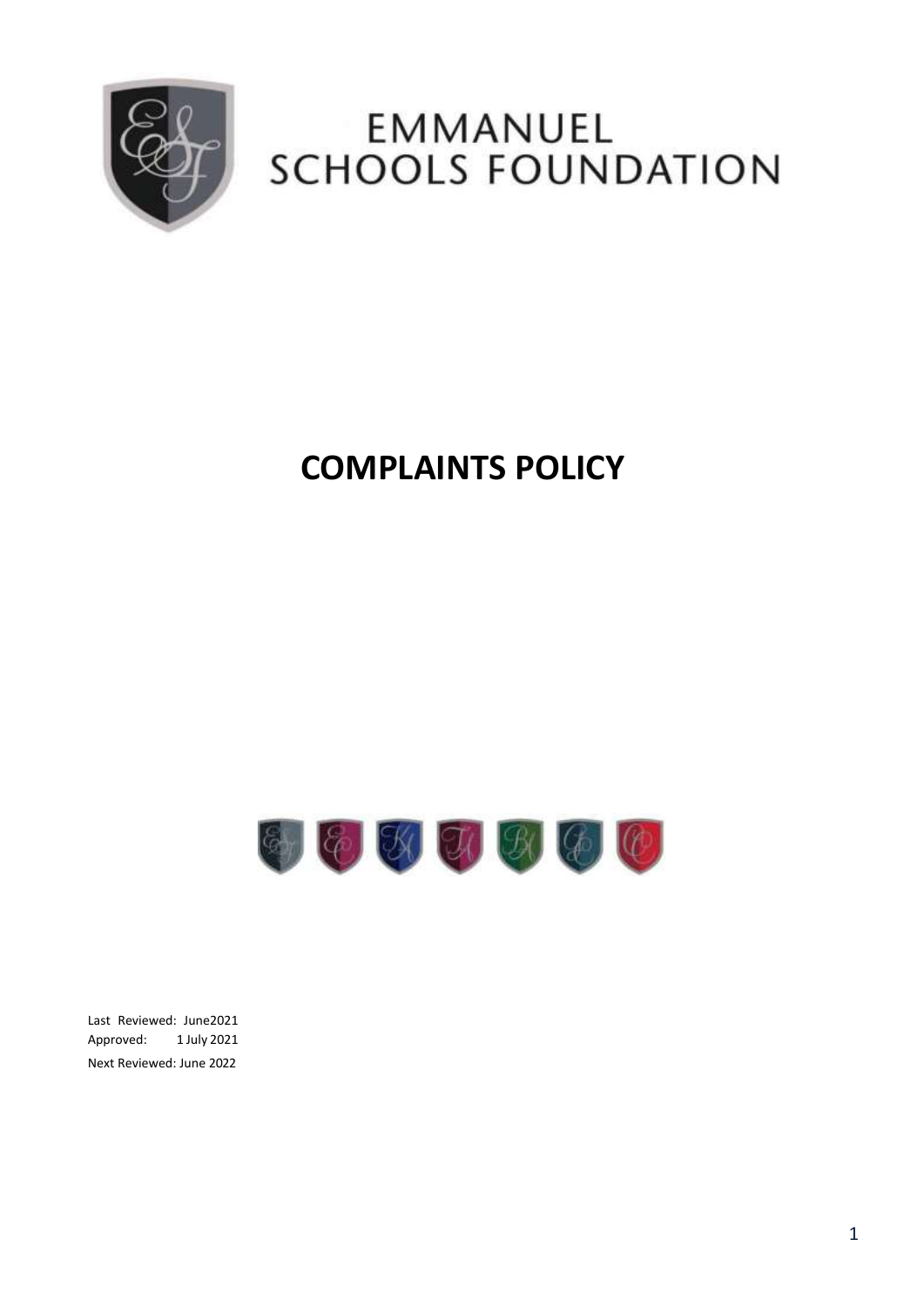

# EMMANUEL **SCHOOLS FOUNDATION**

## **COMPLAINTS POLICY**



Last Reviewed: June2021 Approved: 1 July 2021 Next Reviewed: June 2022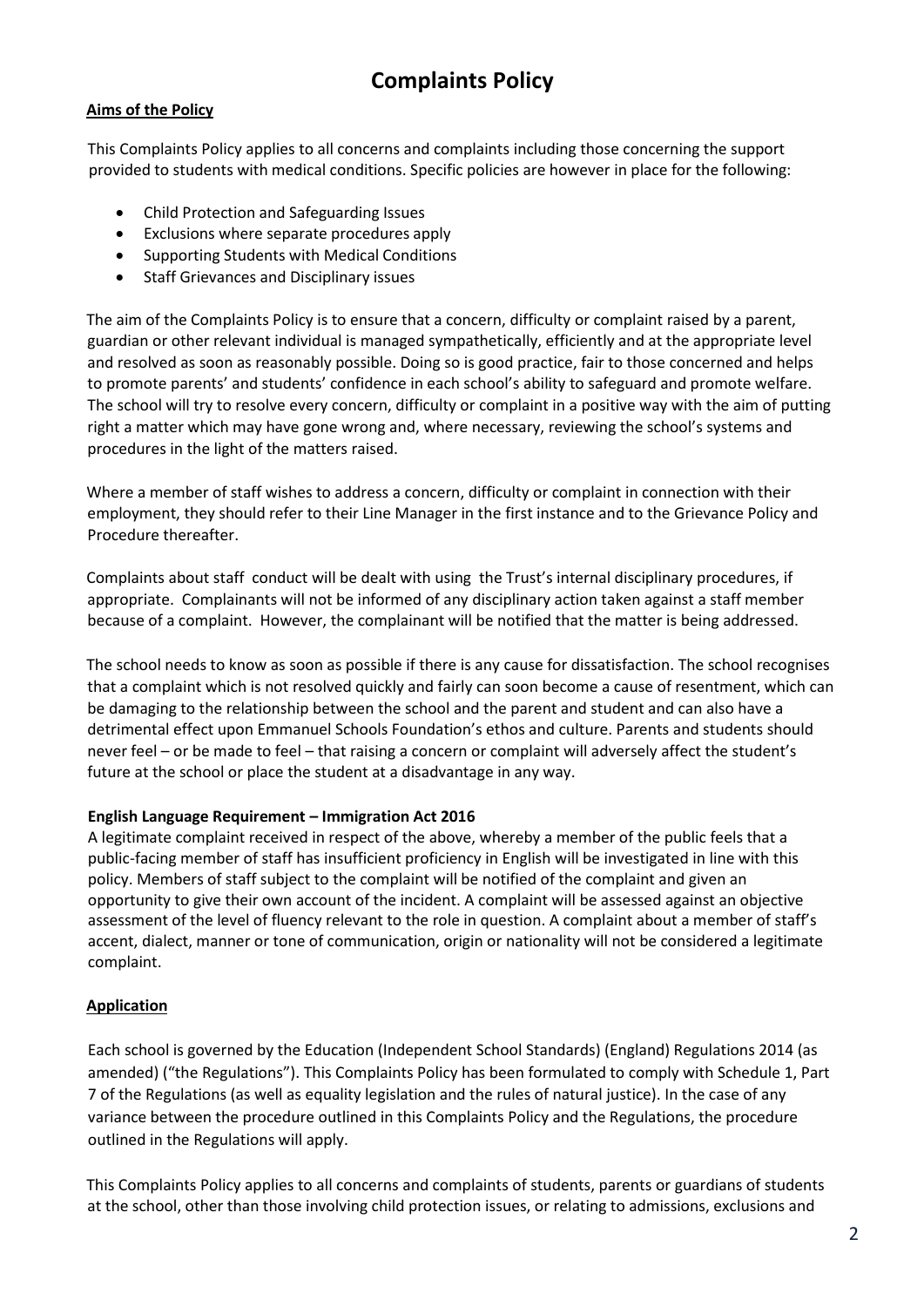## **Complaints Policy**

#### **Aims of the Policy**

This Complaints Policy applies to all concerns and complaints including those concerning the support provided to students with medical conditions. Specific policies are however in place for the following:

- Child Protection and Safeguarding Issues
- Exclusions where separate procedures apply
- Supporting Students with Medical Conditions
- Staff Grievances and Disciplinary issues

The aim of the Complaints Policy is to ensure that a concern, difficulty or complaint raised by a parent, guardian or other relevant individual is managed sympathetically, efficiently and at the appropriate level and resolved as soon as reasonably possible. Doing so is good practice, fair to those concerned and helps to promote parents' and students' confidence in each school's ability to safeguard and promote welfare. The school will try to resolve every concern, difficulty or complaint in a positive way with the aim of putting right a matter which may have gone wrong and, where necessary, reviewing the school's systems and procedures in the light of the matters raised.

Where a member of staff wishes to address a concern, difficulty or complaint in connection with their employment, they should refer to their Line Manager in the first instance and to the Grievance Policy and Procedure thereafter.

Complaints about staff conduct will be dealt with using the Trust's internal disciplinary procedures, if appropriate. Complainants will not be informed of any disciplinary action taken against a staff member because of a complaint. However, the complainant will be notified that the matter is being addressed.

The school needs to know as soon as possible if there is any cause for dissatisfaction. The school recognises that a complaint which is not resolved quickly and fairly can soon become a cause of resentment, which can be damaging to the relationship between the school and the parent and student and can also have a detrimental effect upon Emmanuel Schools Foundation's ethos and culture. Parents and students should never feel – or be made to feel – that raising a concern or complaint will adversely affect the student's future at the school or place the student at a disadvantage in any way.

#### **English Language Requirement – Immigration Act 2016**

A legitimate complaint received in respect of the above, whereby a member of the public feels that a public-facing member of staff has insufficient proficiency in English will be investigated in line with this policy. Members of staff subject to the complaint will be notified of the complaint and given an opportunity to give their own account of the incident. A complaint will be assessed against an objective assessment of the level of fluency relevant to the role in question. A complaint about a member of staff's accent, dialect, manner or tone of communication, origin or nationality will not be considered a legitimate complaint.

#### **Application**

Each school is governed by the Education (Independent School Standards) (England) Regulations 2014 (as amended) ("the Regulations"). This Complaints Policy has been formulated to comply with Schedule 1, Part 7 of the Regulations (as well as equality legislation and the rules of natural justice). In the case of any variance between the procedure outlined in this Complaints Policy and the Regulations, the procedure outlined in the Regulations will apply.

This Complaints Policy applies to all concerns and complaints of students, parents or guardians of students at the school, other than those involving child protection issues, or relating to admissions, exclusions and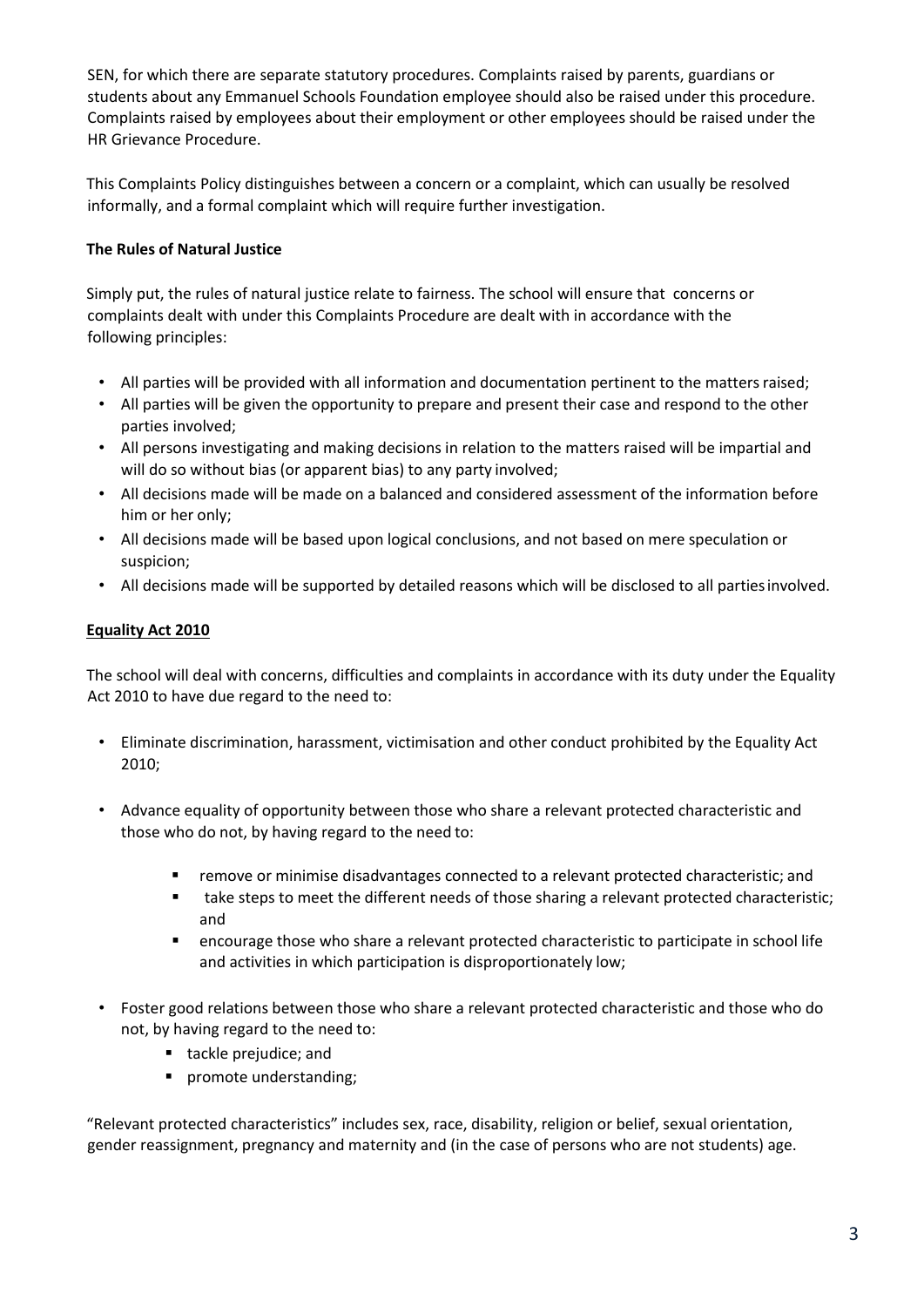SEN, for which there are separate statutory procedures. Complaints raised by parents, guardians or students about any Emmanuel Schools Foundation employee should also be raised under this procedure. Complaints raised by employees about their employment or other employees should be raised under the HR Grievance Procedure.

This Complaints Policy distinguishes between a concern or a complaint, which can usually be resolved informally, and a formal complaint which will require further investigation.

#### **The Rules of Natural Justice**

Simply put, the rules of natural justice relate to fairness. The school will ensure that concerns or complaints dealt with under this Complaints Procedure are dealt with in accordance with the following principles:

- All parties will be provided with all information and documentation pertinent to the matters raised;
- All parties will be given the opportunity to prepare and present their case and respond to the other parties involved;
- All persons investigating and making decisions in relation to the matters raised will be impartial and will do so without bias (or apparent bias) to any party involved;
- All decisions made will be made on a balanced and considered assessment of the information before him or her only;
- All decisions made will be based upon logical conclusions, and not based on mere speculation or suspicion;
- All decisions made will be supported by detailed reasons which will be disclosed to all partiesinvolved.

#### **Equality Act 2010**

The school will deal with concerns, difficulties and complaints in accordance with its duty under the Equality Act 2010 to have due regard to the need to:

- Eliminate discrimination, harassment, victimisation and other conduct prohibited by the Equality Act 2010;
- Advance equality of opportunity between those who share a relevant protected characteristic and those who do not, by having regard to the need to:
	- remove or minimise disadvantages connected to a relevant protected characteristic; and
	- take steps to meet the different needs of those sharing a relevant protected characteristic; and
	- encourage those who share a relevant protected characteristic to participate in school life and activities in which participation is disproportionately low;
- Foster good relations between those who share a relevant protected characteristic and those who do not, by having regard to the need to:
	- tackle prejudice; and
	- **•** promote understanding;

"Relevant protected characteristics" includes sex, race, disability, religion or belief, sexual orientation, gender reassignment, pregnancy and maternity and (in the case of persons who are not students) age.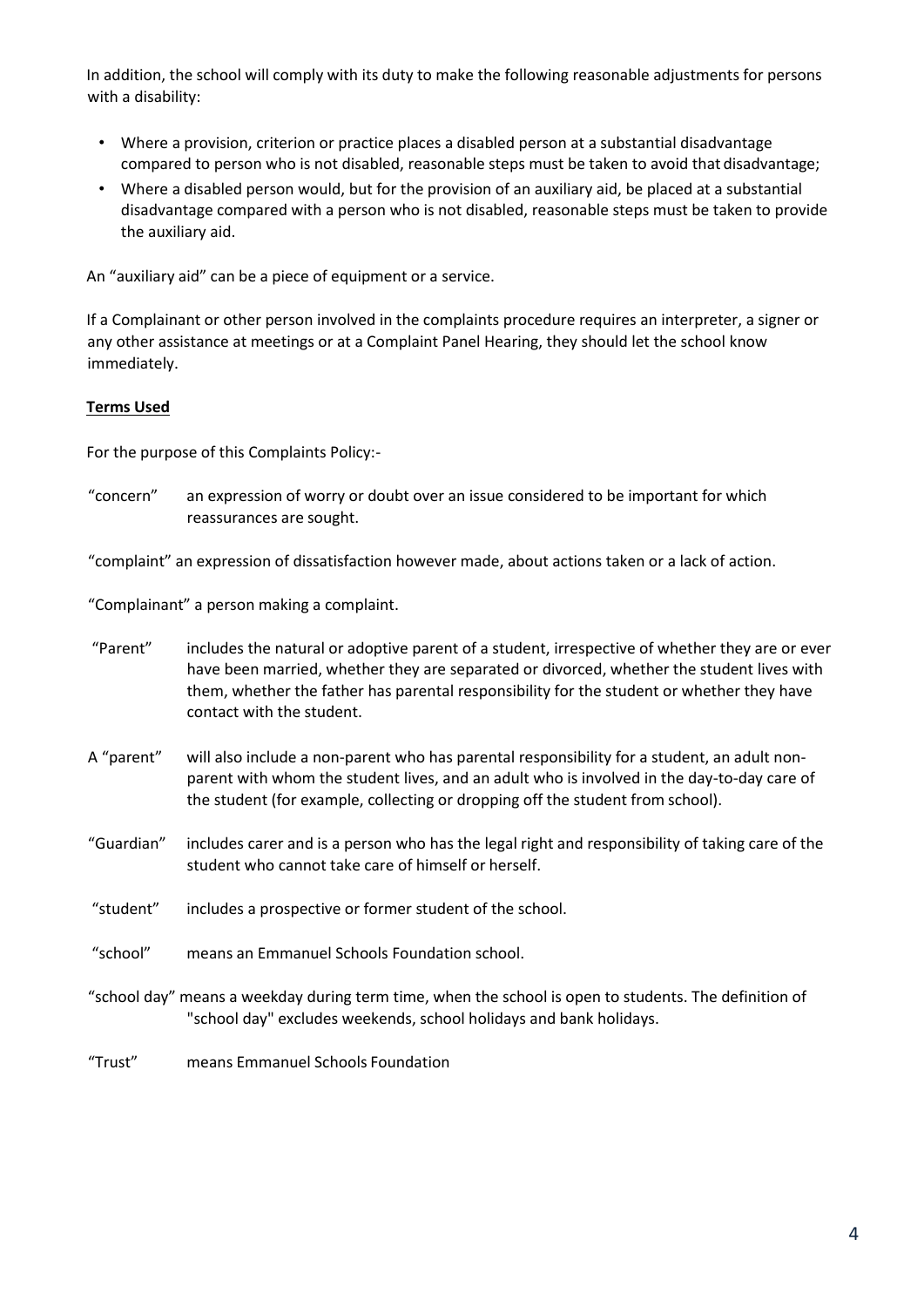In addition, the school will comply with its duty to make the following reasonable adjustments for persons with a disability:

- Where a provision, criterion or practice places a disabled person at a substantial disadvantage compared to person who is not disabled, reasonable steps must be taken to avoid that disadvantage;
- Where a disabled person would, but for the provision of an auxiliary aid, be placed at a substantial disadvantage compared with a person who is not disabled, reasonable steps must be taken to provide the auxiliary aid.

An "auxiliary aid" can be a piece of equipment or a service.

If a Complainant or other person involved in the complaints procedure requires an interpreter, a signer or any other assistance at meetings or at a Complaint Panel Hearing, they should let the school know immediately.

#### **Terms Used**

For the purpose of this Complaints Policy:-

"concern" an expression of worry or doubt over an issue considered to be important for which reassurances are sought.

"complaint" an expression of dissatisfaction however made, about actions taken or a lack of action.

"Complainant" a person making a complaint.

- "Parent" includes the natural or adoptive parent of a student, irrespective of whether they are or ever have been married, whether they are separated or divorced, whether the student lives with them, whether the father has parental responsibility for the student or whether they have contact with the student.
- A "parent" will also include a non-parent who has parental responsibility for a student, an adult nonparent with whom the student lives, and an adult who is involved in the day-to-day care of the student (for example, collecting or dropping off the student from school).
- "Guardian" includes carer and is [a person w](https://dictionary.cambridge.org/dictionary/english/person)ho has the [legal](https://dictionary.cambridge.org/dictionary/english/legal) [right a](https://dictionary.cambridge.org/dictionary/english/right)n[d responsibility o](https://dictionary.cambridge.org/dictionary/english/responsibility)f takin[g care o](https://dictionary.cambridge.org/dictionary/english/care)f the student who cannot take [care o](https://dictionary.cambridge.org/dictionary/english/care)f himself or herself.
- "student" includes a prospective or former student of the school.
- "school" means an Emmanuel Schools Foundation school.
- "school day" means a weekday during term time, when the school is open to students. The definition of "school day" excludes weekends, school holidays and bank holidays.
- "Trust" means Emmanuel Schools Foundation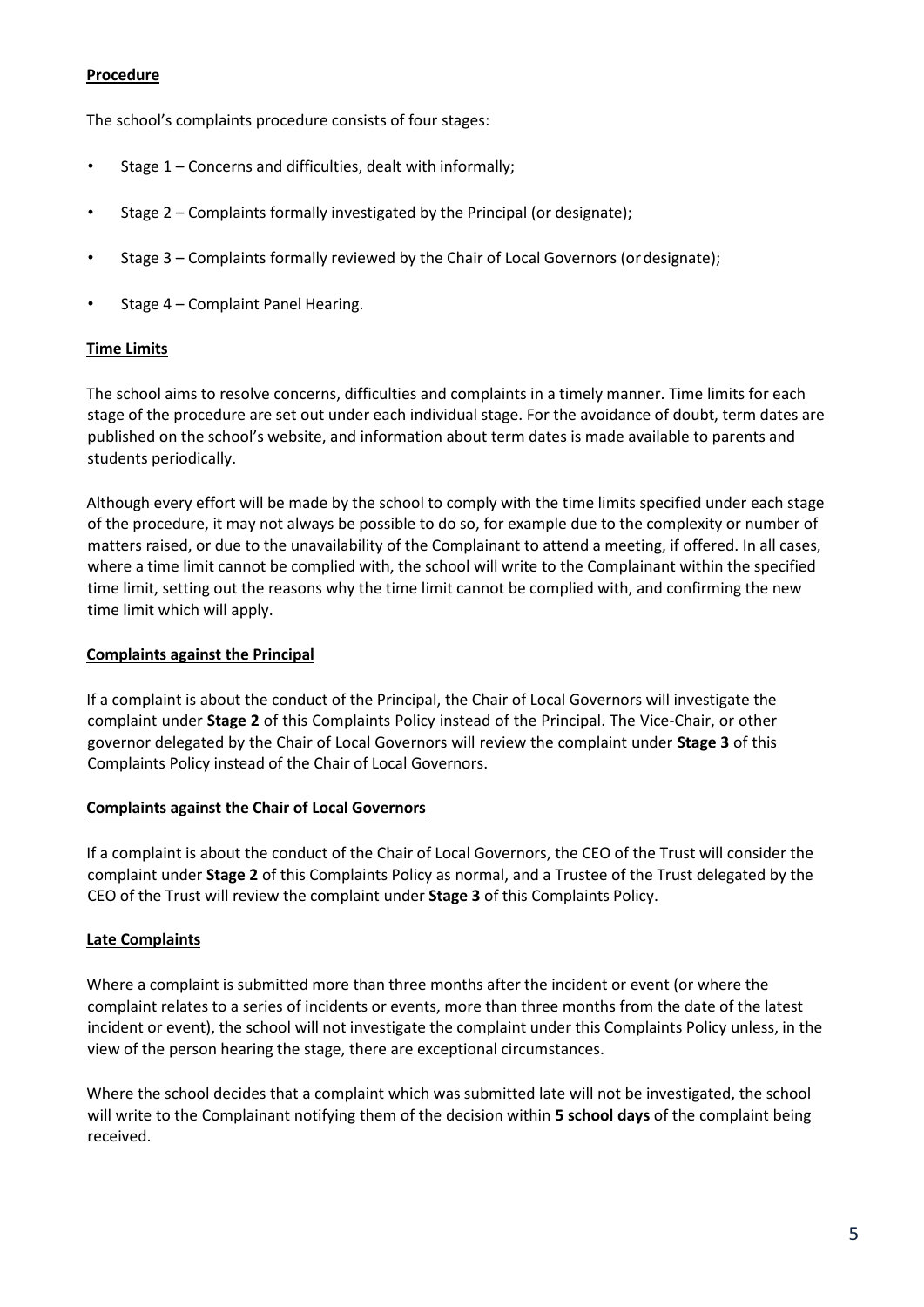#### **Procedure**

The school's complaints procedure consists of four stages:

- Stage 1 Concerns and difficulties, dealt with informally;
- Stage 2 Complaints formally investigated by the Principal (or designate);
- Stage 3 Complaints formally reviewed by the Chair of Local Governors (ordesignate);
- Stage 4 Complaint Panel Hearing.

#### **Time Limits**

The school aims to resolve concerns, difficulties and complaints in a timely manner. Time limits for each stage of the procedure are set out under each individual stage. For the avoidance of doubt, term dates are published on the school's website, and information about term dates is made available to parents and students periodically.

Although every effort will be made by the school to comply with the time limits specified under each stage of the procedure, it may not always be possible to do so, for example due to the complexity or number of matters raised, or due to the unavailability of the Complainant to attend a meeting, if offered. In all cases, where a time limit cannot be complied with, the school will write to the Complainant within the specified time limit, setting out the reasons why the time limit cannot be complied with, and confirming the new time limit which will apply.

#### **Complaints against the Principal**

If a complaint is about the conduct of the Principal, the Chair of Local Governors will investigate the complaint under **Stage 2** of this Complaints Policy instead of the Principal. The Vice-Chair, or other governor delegated by the Chair of Local Governors will review the complaint under **Stage 3** of this Complaints Policy instead of the Chair of Local Governors.

#### **Complaints against the Chair of Local Governors**

If a complaint is about the conduct of the Chair of Local Governors, the CEO of the Trust will consider the complaint under **Stage 2** of this Complaints Policy as normal, and a Trustee of the Trust delegated by the CEO of the Trust will review the complaint under **Stage 3** of this Complaints Policy.

#### **Late Complaints**

Where a complaint is submitted more than three months after the incident or event (or where the complaint relates to a series of incidents or events, more than three months from the date of the latest incident or event), the school will not investigate the complaint under this Complaints Policy unless, in the view of the person hearing the stage, there are exceptional circumstances.

Where the school decides that a complaint which was submitted late will not be investigated, the school will write to the Complainant notifying them of the decision within **5 school days** of the complaint being received.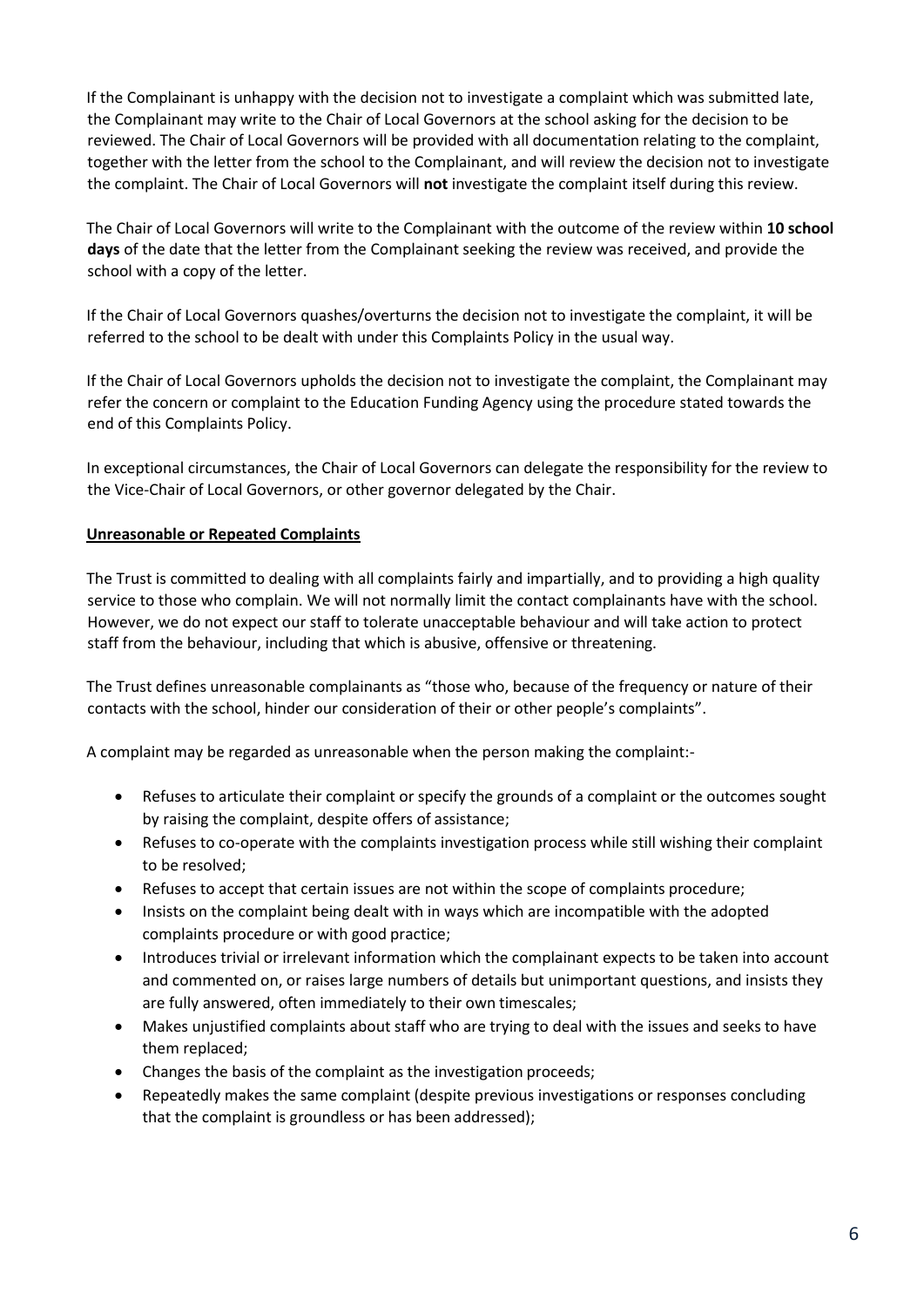If the Complainant is unhappy with the decision not to investigate a complaint which was submitted late, the Complainant may write to the Chair of Local Governors at the school asking for the decision to be reviewed. The Chair of Local Governors will be provided with all documentation relating to the complaint, together with the letter from the school to the Complainant, and will review the decision not to investigate the complaint. The Chair of Local Governors will **not** investigate the complaint itself during this review.

The Chair of Local Governors will write to the Complainant with the outcome of the review within **10 school days** of the date that the letter from the Complainant seeking the review was received, and provide the school with a copy of the letter.

If the Chair of Local Governors quashes/overturns the decision not to investigate the complaint, it will be referred to the school to be dealt with under this Complaints Policy in the usual way.

If the Chair of Local Governors upholds the decision not to investigate the complaint, the Complainant may refer the concern or complaint to the Education Funding Agency using the procedure stated towards the end of this Complaints Policy.

In exceptional circumstances, the Chair of Local Governors can delegate the responsibility for the review to the Vice-Chair of Local Governors, or other governor delegated by the Chair.

#### **Unreasonable or Repeated Complaints**

The Trust is committed to dealing with all complaints fairly and impartially, and to providing a high quality service to those who complain. We will not normally limit the contact complainants have with the school. However, we do not expect our staff to tolerate unacceptable behaviour and will take action to protect staff from the behaviour, including that which is abusive, offensive or threatening.

The Trust defines unreasonable complainants as "those who, because of the frequency or nature of their contacts with the school, hinder our consideration of their or other people's complaints".

A complaint may be regarded as unreasonable when the person making the complaint:-

- Refuses to articulate their complaint or specify the grounds of a complaint or the outcomes sought by raising the complaint, despite offers of assistance;
- Refuses to co-operate with the complaints investigation process while still wishing their complaint to be resolved;
- Refuses to accept that certain issues are not within the scope of complaints procedure;
- Insists on the complaint being dealt with in ways which are incompatible with the adopted complaints procedure or with good practice;
- Introduces trivial or irrelevant information which the complainant expects to be taken into account and commented on, or raises large numbers of details but unimportant questions, and insists they are fully answered, often immediately to their own timescales;
- Makes unjustified complaints about staff who are trying to deal with the issues and seeks to have them replaced;
- Changes the basis of the complaint as the investigation proceeds;
- Repeatedly makes the same complaint (despite previous investigations or responses concluding that the complaint is groundless or has been addressed);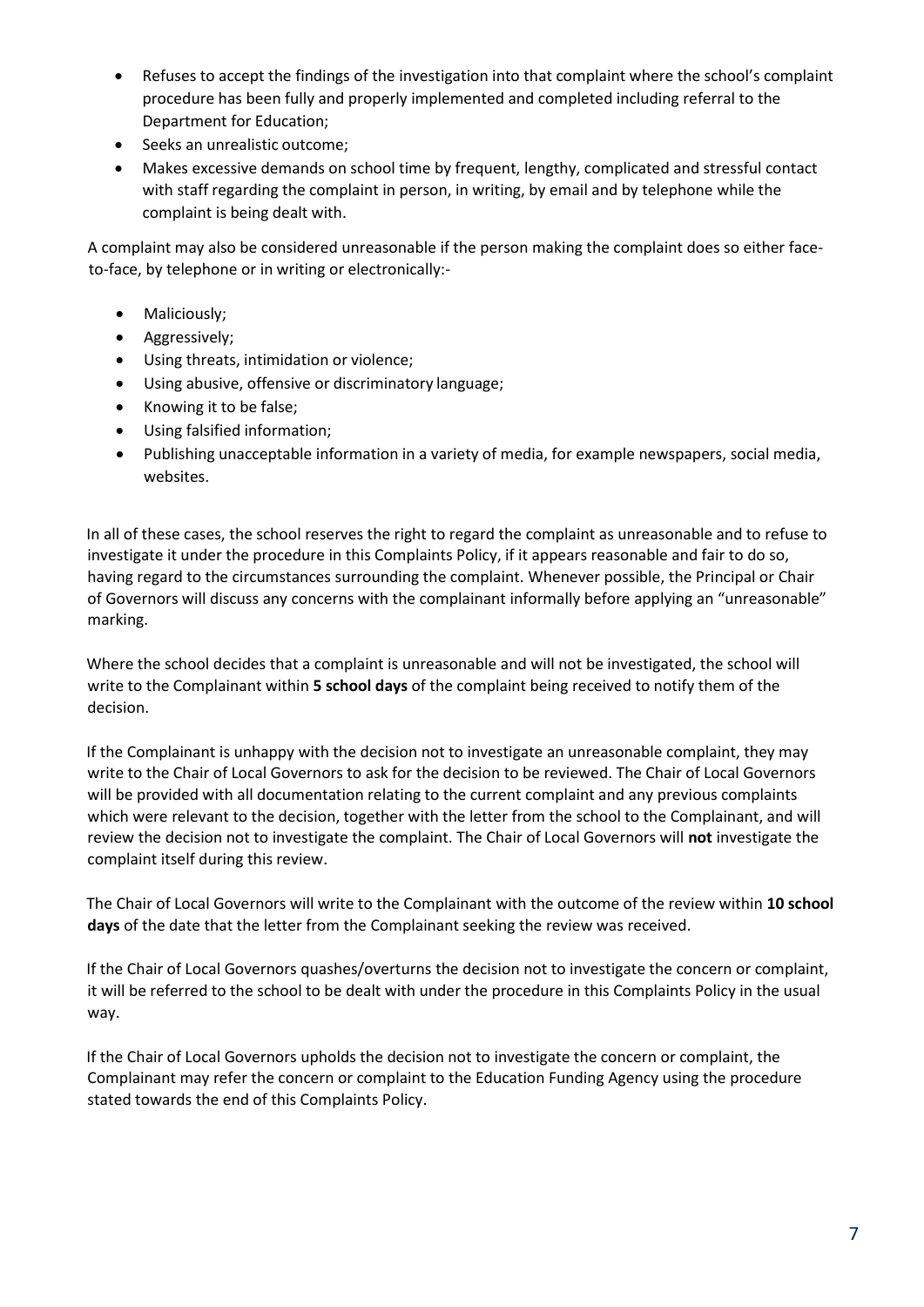- Refuses to accept the findings of the investigation into that complaint where the school's complaint procedure has been fully and properly implemented and completed including referral to the Department for Education;
- Seeks an unrealistic outcome;
- Makes excessive demands on school time by frequent, lengthy, complicated and stressful contact with staff regarding the complaint in person, in writing, by email and by telephone while the complaint is being dealt with.

A complaint may also be considered unreasonable if the person making the complaint does so either faceto-face, by telephone or in writing or electronically:-

- Maliciously;
- Aggressively;
- Using threats, intimidation or violence;
- Using abusive, offensive or discriminatory language;
- Knowing it to be false;
- Using falsified information;
- Publishing unacceptable information in a variety of media, for example newspapers, social media, websites.

In all of these cases, the school reserves the right to regard the complaint as unreasonable and to refuse to investigate it under the procedure in this Complaints Policy, if it appears reasonable and fair to do so, having regard to the circumstances surrounding the complaint. Whenever possible, the Principal or Chair of Governors will discuss any concerns with the complainant informally before applying an "unreasonable" marking.

Where the school decides that a complaint is unreasonable and will not be investigated, the school will write to the Complainant within **5 school days** of the complaint being received to notify them of the decision.

If the Complainant is unhappy with the decision not to investigate an unreasonable complaint, they may write to the Chair of Local Governors to ask for the decision to be reviewed. The Chair of Local Governors will be provided with all documentation relating to the current complaint and any previous complaints which were relevant to the decision, together with the letter from the school to the Complainant, and will review the decision not to investigate the complaint. The Chair of Local Governors will **not** investigate the complaint itself during this review.

The Chair of Local Governors will write to the Complainant with the outcome of the review within **10 school days** of the date that the letter from the Complainant seeking the review was received.

If the Chair of Local Governors quashes/overturns the decision not to investigate the concern or complaint, it will be referred to the school to be dealt with under the procedure in this Complaints Policy in the usual way.

If the Chair of Local Governors upholds the decision not to investigate the concern or complaint, the Complainant may refer the concern or complaint to the Education Funding Agency using the procedure stated towards the end of this Complaints Policy.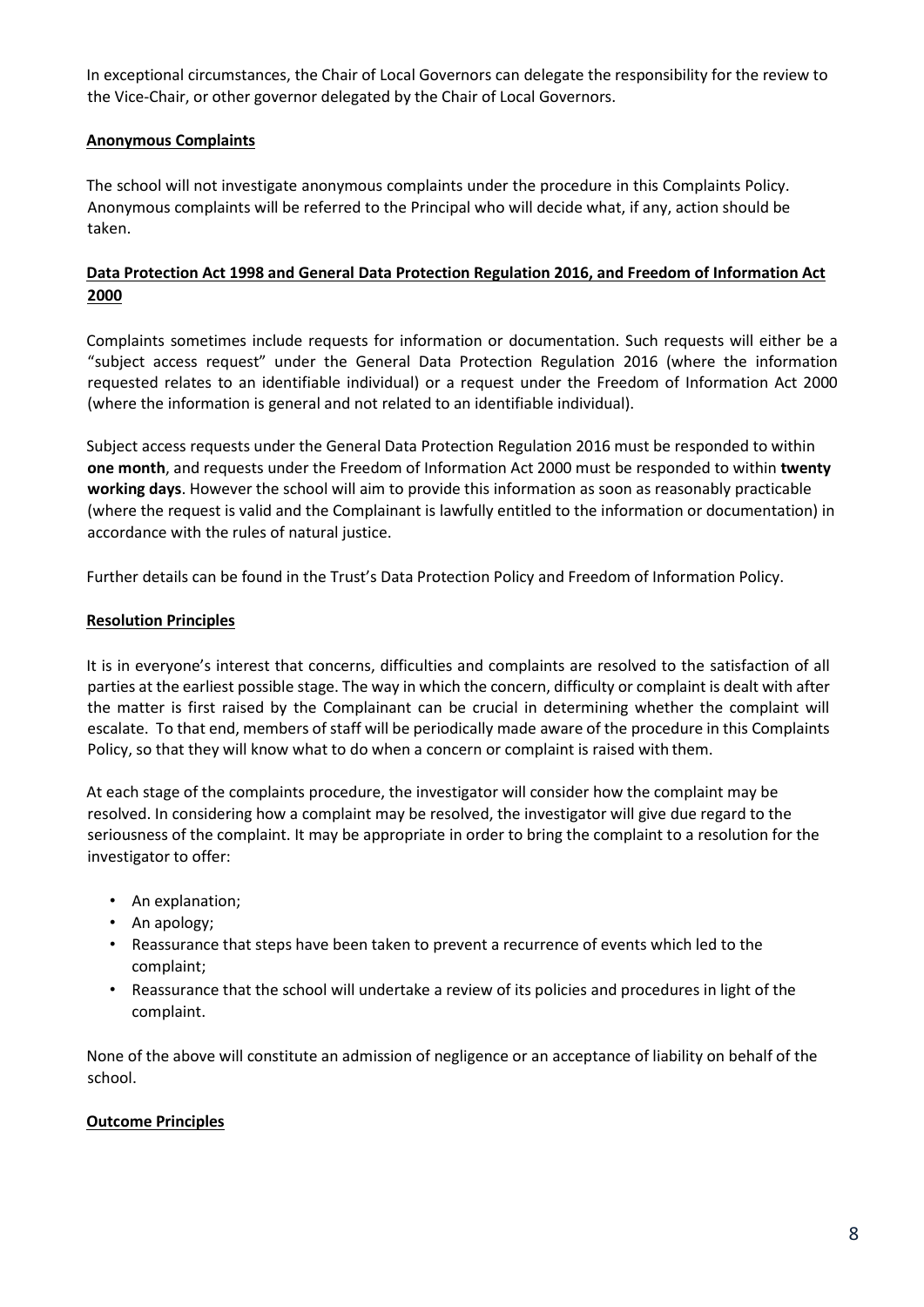In exceptional circumstances, the Chair of Local Governors can delegate the responsibility for the review to the Vice-Chair, or other governor delegated by the Chair of Local Governors.

#### **Anonymous Complaints**

The school will not investigate anonymous complaints under the procedure in this Complaints Policy. Anonymous complaints will be referred to the Principal who will decide what, if any, action should be taken.

#### **Data Protection Act 1998 and General Data Protection Regulation 2016, and Freedom of Information Act 2000**

Complaints sometimes include requests for information or documentation. Such requests will either be a "subject access request" under the General Data Protection Regulation 2016 (where the information requested relates to an identifiable individual) or a request under the Freedom of Information Act 2000 (where the information is general and not related to an identifiable individual).

Subject access requests under the General Data Protection Regulation 2016 must be responded to within **one month**, and requests under the Freedom of Information Act 2000 must be responded to within **twenty working days**. However the school will aim to provide this information as soon as reasonably practicable (where the request is valid and the Complainant is lawfully entitled to the information or documentation) in accordance with the rules of natural justice.

Further details can be found in the Trust's Data Protection Policy and Freedom of Information Policy.

#### **Resolution Principles**

It is in everyone's interest that concerns, difficulties and complaints are resolved to the satisfaction of all parties at the earliest possible stage. The way in which the concern, difficulty or complaint is dealt with after the matter is first raised by the Complainant can be crucial in determining whether the complaint will escalate. To that end, members of staff will be periodically made aware of the procedure in this Complaints Policy, so that they will know what to do when a concern or complaint is raised with them.

At each stage of the complaints procedure, the investigator will consider how the complaint may be resolved. In considering how a complaint may be resolved, the investigator will give due regard to the seriousness of the complaint. It may be appropriate in order to bring the complaint to a resolution for the investigator to offer:

- An explanation;
- An apology;
- Reassurance that steps have been taken to prevent a recurrence of events which led to the complaint;
- Reassurance that the school will undertake a review of its policies and procedures in light of the complaint.

None of the above will constitute an admission of negligence or an acceptance of liability on behalf of the school.

#### **Outcome Principles**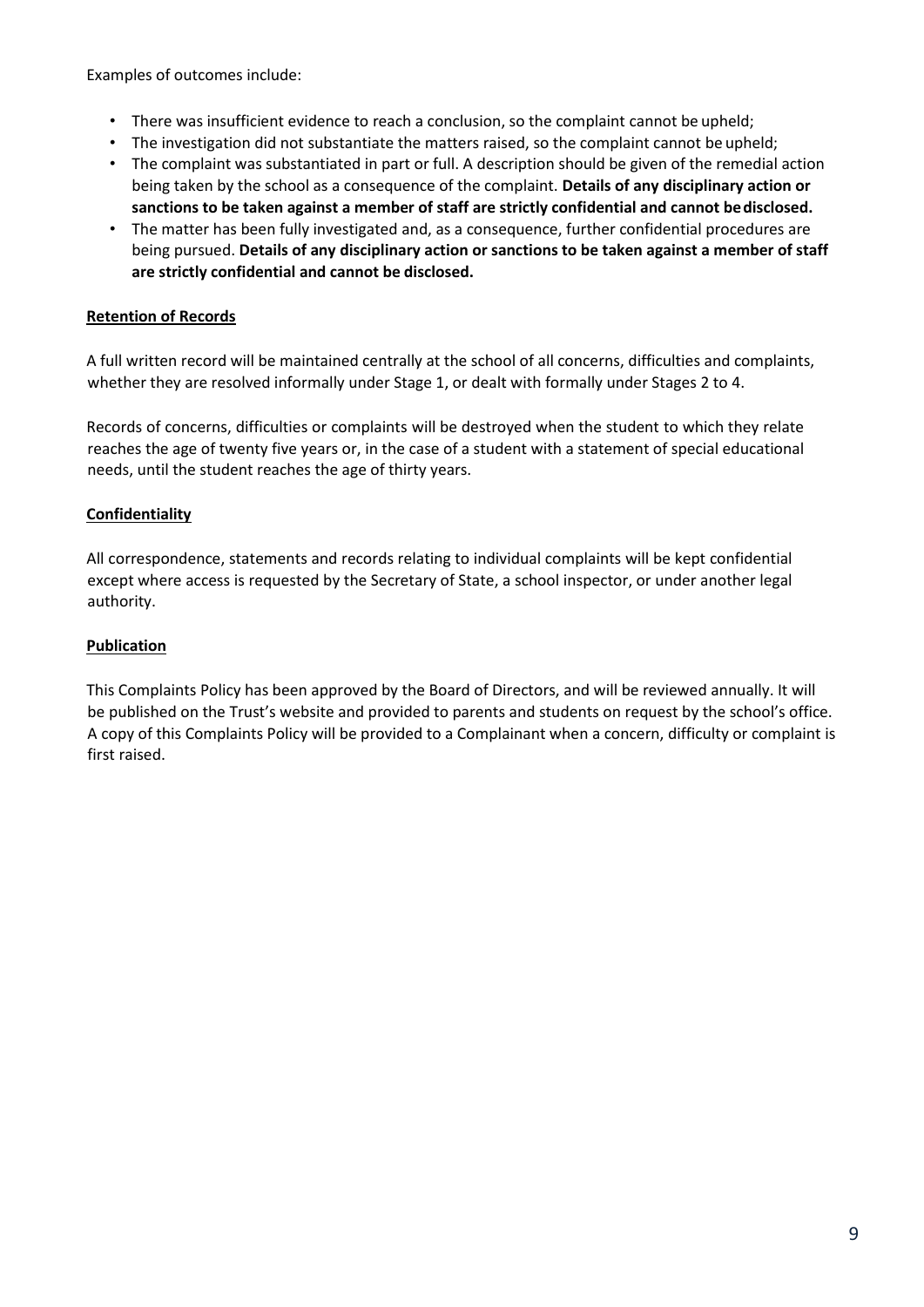Examples of outcomes include:

- There was insufficient evidence to reach a conclusion, so the complaint cannot be upheld;
- The investigation did not substantiate the matters raised, so the complaint cannot be upheld;
- The complaint was substantiated in part or full. A description should be given of the remedial action being taken by the school as a consequence of the complaint. **Details of any disciplinary action or sanctions to be taken against a member of staff are strictly confidential and cannot bedisclosed.**
- The matter has been fully investigated and, as a consequence, further confidential procedures are being pursued. **Details of any disciplinary action or sanctions to be taken against a member of staff are strictly confidential and cannot be disclosed.**

#### **Retention of Records**

A full written record will be maintained centrally at the school of all concerns, difficulties and complaints, whether they are resolved informally under Stage 1, or dealt with formally under Stages 2 to 4.

Records of concerns, difficulties or complaints will be destroyed when the student to which they relate reaches the age of twenty five years or, in the case of a student with a statement of special educational needs, until the student reaches the age of thirty years.

#### **Confidentiality**

All correspondence, statements and records relating to individual complaints will be kept confidential except where access is requested by the Secretary of State, a school inspector, or under another legal authority.

#### **Publication**

This Complaints Policy has been approved by the Board of Directors, and will be reviewed annually. It will be published on the Trust's website and provided to parents and students on request by the school's office. A copy of this Complaints Policy will be provided to a Complainant when a concern, difficulty or complaint is first raised.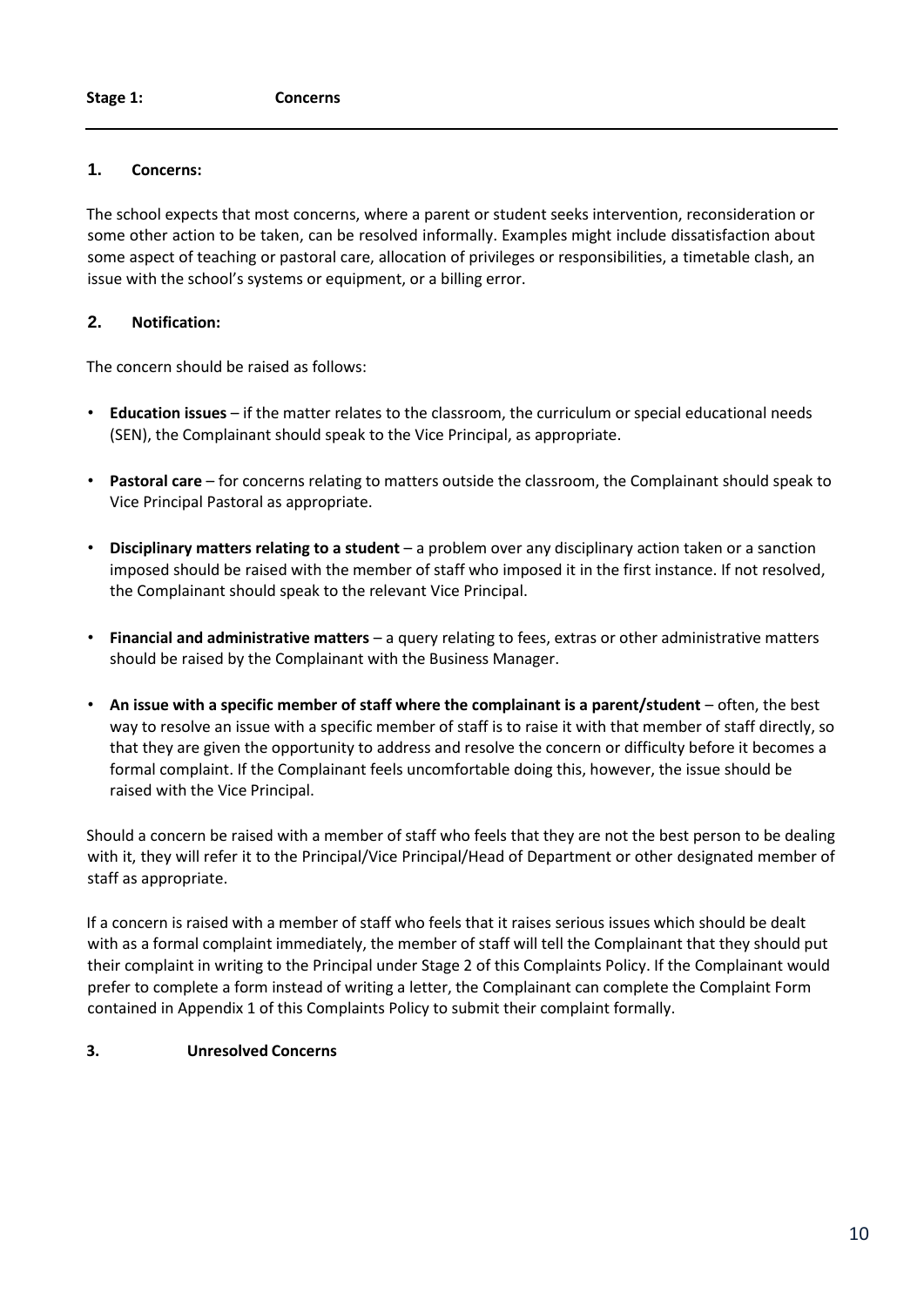#### **1. Concerns:**

The school expects that most concerns, where a parent or student seeks intervention, reconsideration or some other action to be taken, can be resolved informally. Examples might include dissatisfaction about some aspect of teaching or pastoral care, allocation of privileges or responsibilities, a timetable clash, an issue with the school's systems or equipment, or a billing error.

#### **2. Notification:**

The concern should be raised as follows:

- **Education issues**  if the matter relates to the classroom, the curriculum or special educational needs (SEN), the Complainant should speak to the Vice Principal, as appropriate.
- **Pastoral care**  for concerns relating to matters outside the classroom, the Complainant should speak to Vice Principal Pastoral as appropriate.
- **Disciplinary matters relating to a student**  a problem over any disciplinary action taken or a sanction imposed should be raised with the member of staff who imposed it in the first instance. If not resolved, the Complainant should speak to the relevant Vice Principal.
- **Financial and administrative matters**  a query relating to fees, extras or other administrative matters should be raised by the Complainant with the Business Manager.
- An issue with a specific member of staff where the complainant is a parent/student often, the best way to resolve an issue with a specific member of staff is to raise it with that member of staff directly, so that they are given the opportunity to address and resolve the concern or difficulty before it becomes a formal complaint. If the Complainant feels uncomfortable doing this, however, the issue should be raised with the Vice Principal.

Should a concern be raised with a member of staff who feels that they are not the best person to be dealing with it, they will refer it to the Principal/Vice Principal/Head of Department or other designated member of staff as appropriate.

If a concern is raised with a member of staff who feels that it raises serious issues which should be dealt with as a formal complaint immediately, the member of staff will tell the Complainant that they should put their complaint in writing to the Principal under Stage 2 of this Complaints Policy. If the Complainant would prefer to complete a form instead of writing a letter, the Complainant can complete the Complaint Form contained in Appendix 1 of this Complaints Policy to submit their complaint formally.

#### **3. Unresolved Concerns**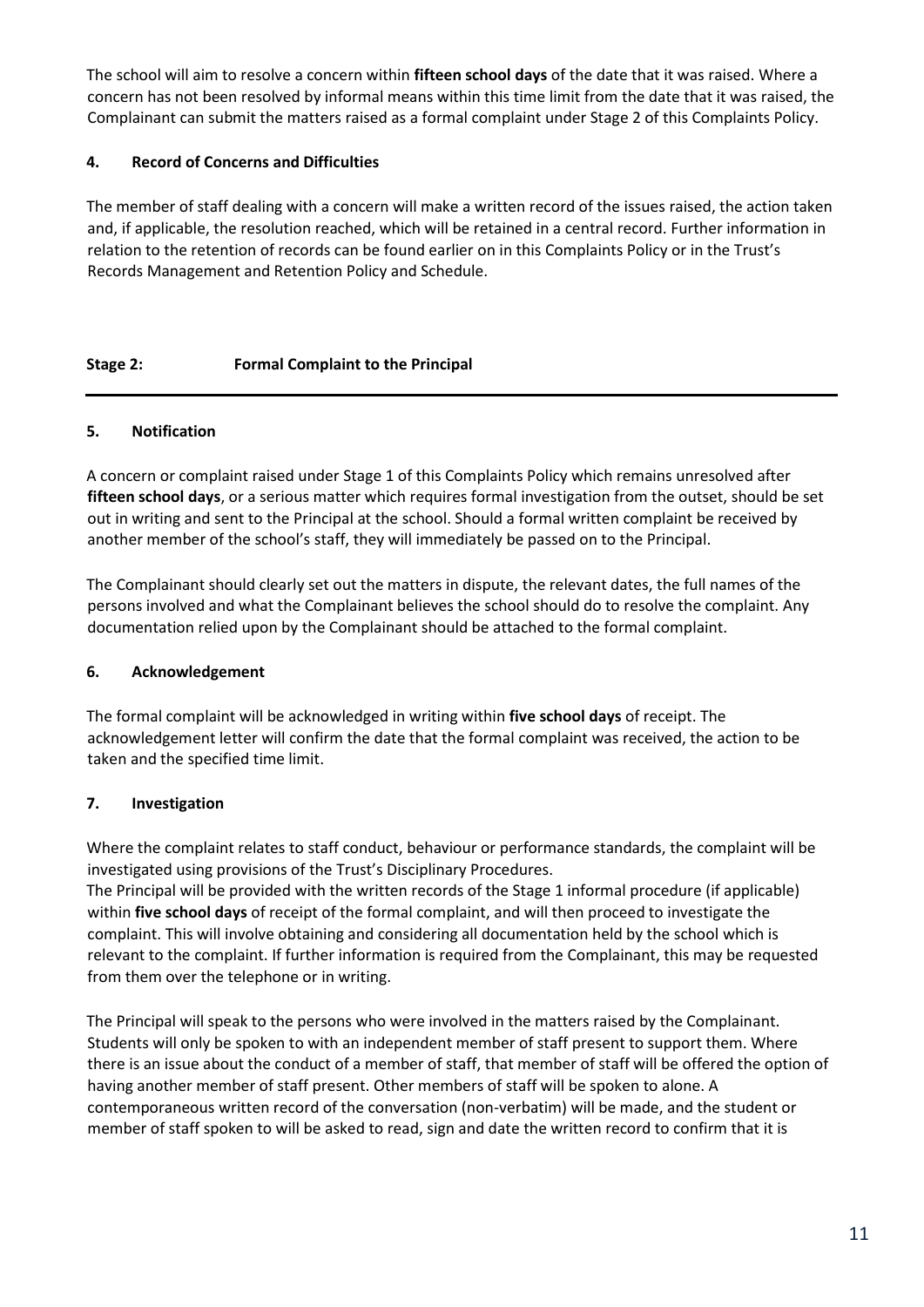The school will aim to resolve a concern within **fifteen school days** of the date that it was raised. Where a concern has not been resolved by informal means within this time limit from the date that it was raised, the Complainant can submit the matters raised as a formal complaint under Stage 2 of this Complaints Policy.

#### **4. Record of Concerns and Difficulties**

The member of staff dealing with a concern will make a written record of the issues raised, the action taken and, if applicable, the resolution reached, which will be retained in a central record. Further information in relation to the retention of records can be found earlier on in this Complaints Policy or in the Trust's Records Management and Retention Policy and Schedule.

#### **Stage 2: Formal Complaint to the Principal**

#### **5. Notification**

A concern or complaint raised under Stage 1 of this Complaints Policy which remains unresolved after **fifteen school days**, or a serious matter which requires formal investigation from the outset, should be set out in writing and sent to the Principal at the school. Should a formal written complaint be received by another member of the school's staff, they will immediately be passed on to the Principal.

The Complainant should clearly set out the matters in dispute, the relevant dates, the full names of the persons involved and what the Complainant believes the school should do to resolve the complaint. Any documentation relied upon by the Complainant should be attached to the formal complaint.

#### **6. Acknowledgement**

The formal complaint will be acknowledged in writing within **five school days** of receipt. The acknowledgement letter will confirm the date that the formal complaint was received, the action to be taken and the specified time limit.

#### **7. Investigation**

Where the complaint relates to staff conduct, behaviour or performance standards, the complaint will be investigated using provisions of the Trust's Disciplinary Procedures.

The Principal will be provided with the written records of the Stage 1 informal procedure (if applicable) within **five school days** of receipt of the formal complaint, and will then proceed to investigate the complaint. This will involve obtaining and considering all documentation held by the school which is relevant to the complaint. If further information is required from the Complainant, this may be requested from them over the telephone or in writing.

The Principal will speak to the persons who were involved in the matters raised by the Complainant. Students will only be spoken to with an independent member of staff present to support them. Where there is an issue about the conduct of a member of staff, that member of staff will be offered the option of having another member of staff present. Other members of staff will be spoken to alone. A contemporaneous written record of the conversation (non-verbatim) will be made, and the student or member of staff spoken to will be asked to read, sign and date the written record to confirm that it is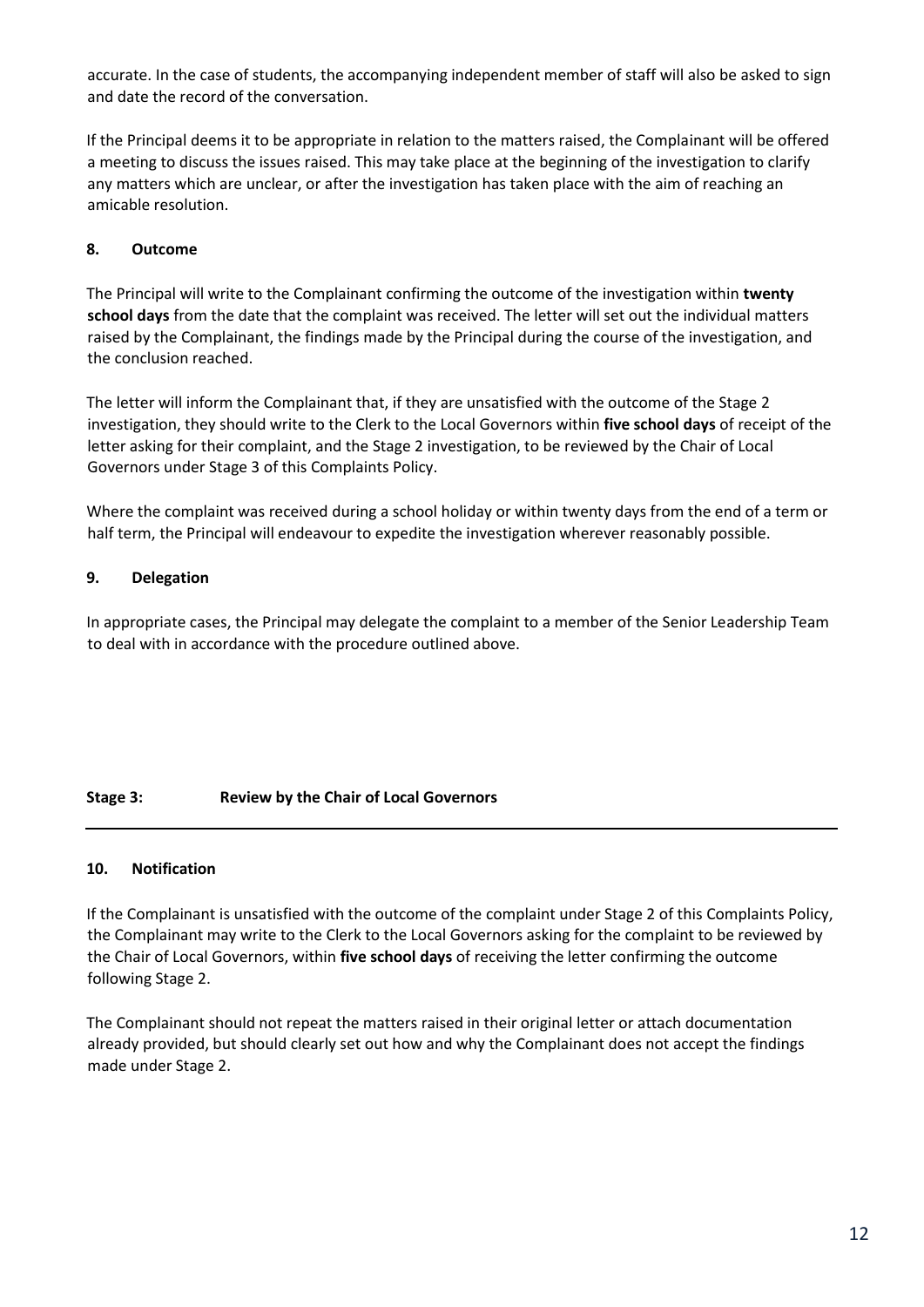accurate. In the case of students, the accompanying independent member of staff will also be asked to sign and date the record of the conversation.

If the Principal deems it to be appropriate in relation to the matters raised, the Complainant will be offered a meeting to discuss the issues raised. This may take place at the beginning of the investigation to clarify any matters which are unclear, or after the investigation has taken place with the aim of reaching an amicable resolution.

#### **8. Outcome**

The Principal will write to the Complainant confirming the outcome of the investigation within **twenty school days** from the date that the complaint was received. The letter will set out the individual matters raised by the Complainant, the findings made by the Principal during the course of the investigation, and the conclusion reached.

The letter will inform the Complainant that, if they are unsatisfied with the outcome of the Stage 2 investigation, they should write to the Clerk to the Local Governors within **five school days** of receipt of the letter asking for their complaint, and the Stage 2 investigation, to be reviewed by the Chair of Local Governors under Stage 3 of this Complaints Policy.

Where the complaint was received during a school holiday or within twenty days from the end of a term or half term, the Principal will endeavour to expedite the investigation wherever reasonably possible.

#### **9. Delegation**

In appropriate cases, the Principal may delegate the complaint to a member of the Senior Leadership Team to deal with in accordance with the procedure outlined above.

#### **Stage 3: Review by the Chair of Local Governors**

#### **10. Notification**

If the Complainant is unsatisfied with the outcome of the complaint under Stage 2 of this Complaints Policy, the Complainant may write to the Clerk to the Local Governors asking for the complaint to be reviewed by the Chair of Local Governors, within **five school days** of receiving the letter confirming the outcome following Stage 2.

The Complainant should not repeat the matters raised in their original letter or attach documentation already provided, but should clearly set out how and why the Complainant does not accept the findings made under Stage 2.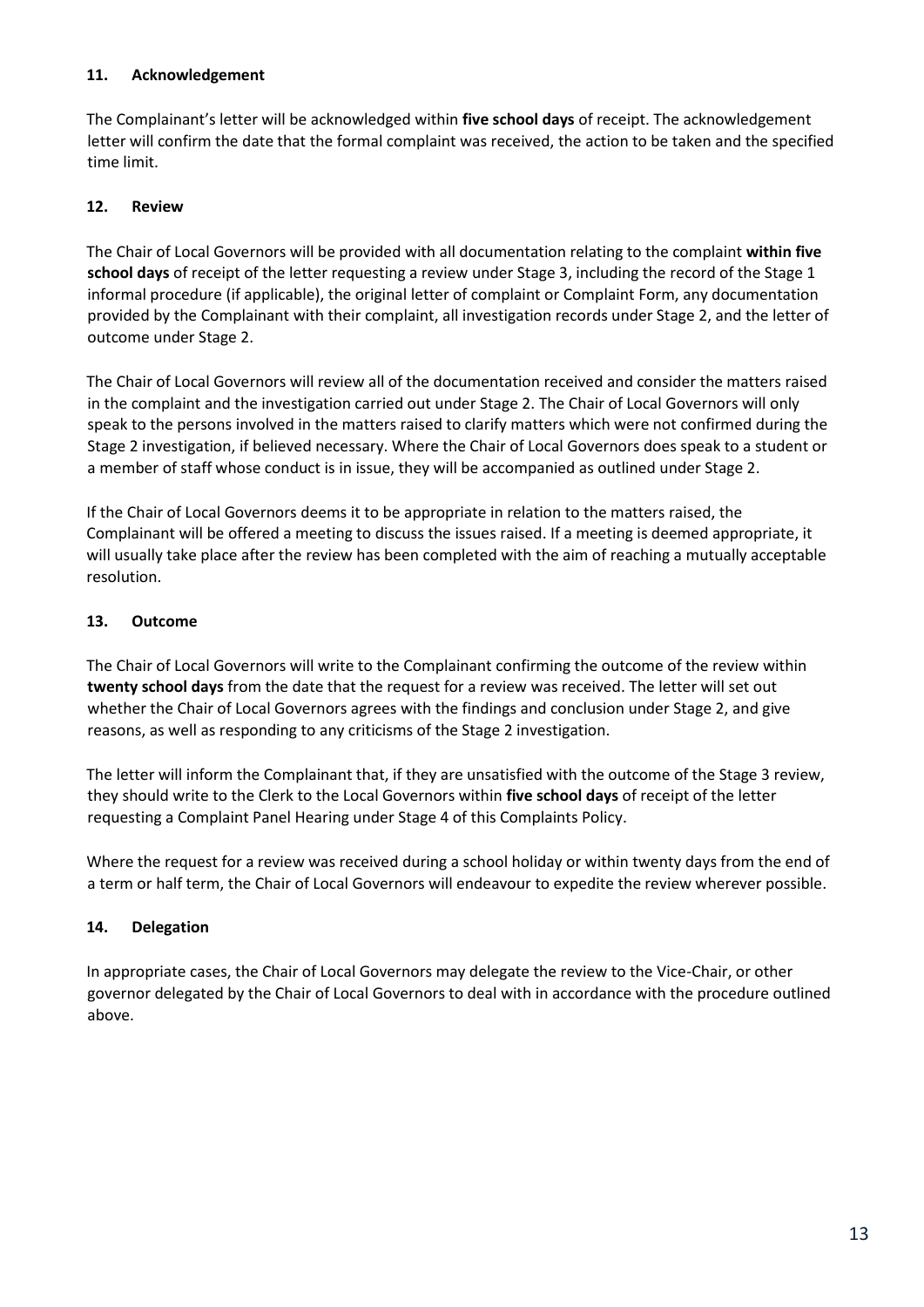#### **11. Acknowledgement**

The Complainant's letter will be acknowledged within **five school days** of receipt. The acknowledgement letter will confirm the date that the formal complaint was received, the action to be taken and the specified time limit.

#### **12. Review**

The Chair of Local Governors will be provided with all documentation relating to the complaint **within five school days** of receipt of the letter requesting a review under Stage 3, including the record of the Stage 1 informal procedure (if applicable), the original letter of complaint or Complaint Form, any documentation provided by the Complainant with their complaint, all investigation records under Stage 2, and the letter of outcome under Stage 2.

The Chair of Local Governors will review all of the documentation received and consider the matters raised in the complaint and the investigation carried out under Stage 2. The Chair of Local Governors will only speak to the persons involved in the matters raised to clarify matters which were not confirmed during the Stage 2 investigation, if believed necessary. Where the Chair of Local Governors does speak to a student or a member of staff whose conduct is in issue, they will be accompanied as outlined under Stage 2.

If the Chair of Local Governors deems it to be appropriate in relation to the matters raised, the Complainant will be offered a meeting to discuss the issues raised. If a meeting is deemed appropriate, it will usually take place after the review has been completed with the aim of reaching a mutually acceptable resolution.

#### **13. Outcome**

The Chair of Local Governors will write to the Complainant confirming the outcome of the review within **twenty school days** from the date that the request for a review was received. The letter will set out whether the Chair of Local Governors agrees with the findings and conclusion under Stage 2, and give reasons, as well as responding to any criticisms of the Stage 2 investigation.

The letter will inform the Complainant that, if they are unsatisfied with the outcome of the Stage 3 review, they should write to the Clerk to the Local Governors within **five school days** of receipt of the letter requesting a Complaint Panel Hearing under Stage 4 of this Complaints Policy.

Where the request for a review was received during a school holiday or within twenty days from the end of a term or half term, the Chair of Local Governors will endeavour to expedite the review wherever possible.

#### **14. Delegation**

In appropriate cases, the Chair of Local Governors may delegate the review to the Vice-Chair, or other governor delegated by the Chair of Local Governors to deal with in accordance with the procedure outlined above.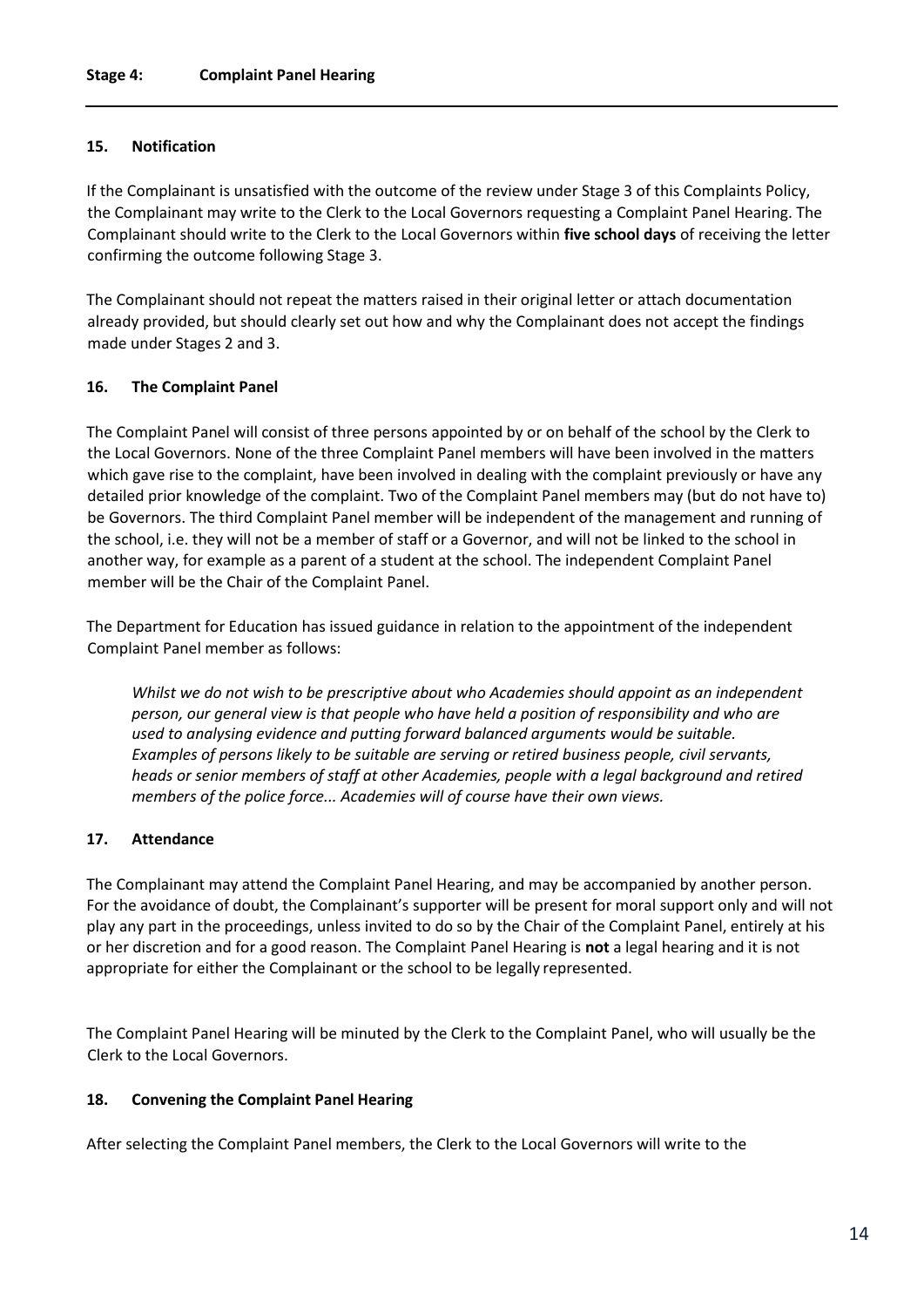#### **15. Notification**

If the Complainant is unsatisfied with the outcome of the review under Stage 3 of this Complaints Policy, the Complainant may write to the Clerk to the Local Governors requesting a Complaint Panel Hearing. The Complainant should write to the Clerk to the Local Governors within **five school days** of receiving the letter confirming the outcome following Stage 3.

The Complainant should not repeat the matters raised in their original letter or attach documentation already provided, but should clearly set out how and why the Complainant does not accept the findings made under Stages 2 and 3.

#### **16. The Complaint Panel**

The Complaint Panel will consist of three persons appointed by or on behalf of the school by the Clerk to the Local Governors. None of the three Complaint Panel members will have been involved in the matters which gave rise to the complaint, have been involved in dealing with the complaint previously or have any detailed prior knowledge of the complaint. Two of the Complaint Panel members may (but do not have to) be Governors. The third Complaint Panel member will be independent of the management and running of the school, i.e. they will not be a member of staff or a Governor, and will not be linked to the school in another way, for example as a parent of a student at the school. The independent Complaint Panel member will be the Chair of the Complaint Panel.

The Department for Education has issued guidance in relation to the appointment of the independent Complaint Panel member as follows:

*Whilst we do not wish to be prescriptive about who Academies should appoint as an independent person, our general view is that people who have held a position of responsibility and who are used to analysing evidence and putting forward balanced arguments would be suitable. Examples of persons likely to be suitable are serving or retired business people, civil servants, heads or senior members of staff at other Academies, people with a legal background and retired members of the police force... Academies will of course have their own views.*

#### **17. Attendance**

The Complainant may attend the Complaint Panel Hearing, and may be accompanied by another person. For the avoidance of doubt, the Complainant's supporter will be present for moral support only and will not play any part in the proceedings, unless invited to do so by the Chair of the Complaint Panel, entirely at his or her discretion and for a good reason. The Complaint Panel Hearing is **not** a legal hearing and it is not appropriate for either the Complainant or the school to be legally represented.

The Complaint Panel Hearing will be minuted by the Clerk to the Complaint Panel, who will usually be the Clerk to the Local Governors.

#### **18. Convening the Complaint Panel Hearing**

After selecting the Complaint Panel members, the Clerk to the Local Governors will write to the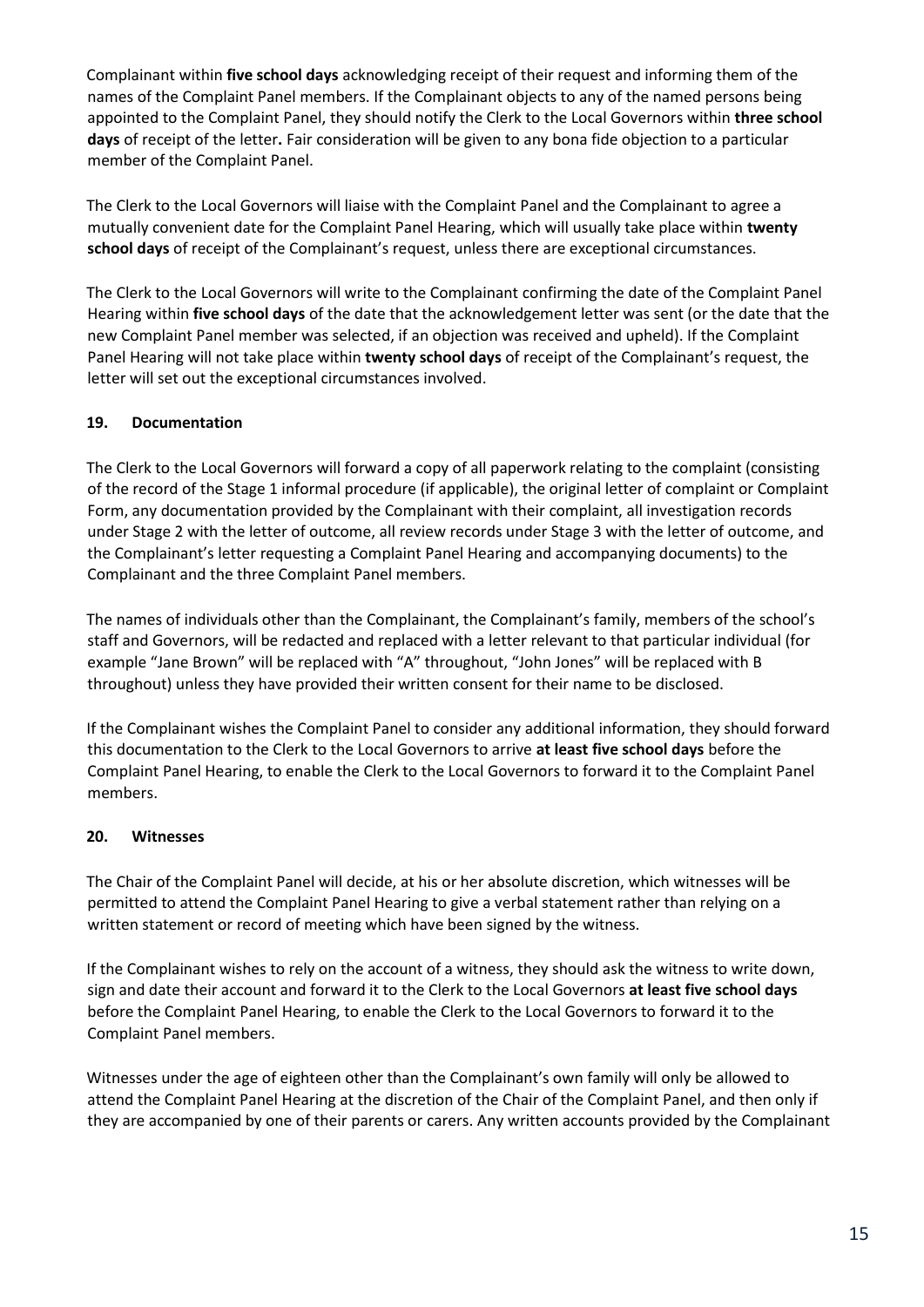Complainant within **five school days** acknowledging receipt of their request and informing them of the names of the Complaint Panel members. If the Complainant objects to any of the named persons being appointed to the Complaint Panel, they should notify the Clerk to the Local Governors within **three school days** of receipt of the letter**.** Fair consideration will be given to any bona fide objection to a particular member of the Complaint Panel.

The Clerk to the Local Governors will liaise with the Complaint Panel and the Complainant to agree a mutually convenient date for the Complaint Panel Hearing, which will usually take place within **twenty school days** of receipt of the Complainant's request, unless there are exceptional circumstances.

The Clerk to the Local Governors will write to the Complainant confirming the date of the Complaint Panel Hearing within **five school days** of the date that the acknowledgement letter was sent (or the date that the new Complaint Panel member was selected, if an objection was received and upheld). If the Complaint Panel Hearing will not take place within **twenty school days** of receipt of the Complainant's request, the letter will set out the exceptional circumstances involved.

#### **19. Documentation**

The Clerk to the Local Governors will forward a copy of all paperwork relating to the complaint (consisting of the record of the Stage 1 informal procedure (if applicable), the original letter of complaint or Complaint Form, any documentation provided by the Complainant with their complaint, all investigation records under Stage 2 with the letter of outcome, all review records under Stage 3 with the letter of outcome, and the Complainant's letter requesting a Complaint Panel Hearing and accompanying documents) to the Complainant and the three Complaint Panel members.

The names of individuals other than the Complainant, the Complainant's family, members of the school's staff and Governors, will be redacted and replaced with a letter relevant to that particular individual (for example "Jane Brown" will be replaced with "A" throughout, "John Jones" will be replaced with B throughout) unless they have provided their written consent for their name to be disclosed.

If the Complainant wishes the Complaint Panel to consider any additional information, they should forward this documentation to the Clerk to the Local Governors to arrive **at least five school days** before the Complaint Panel Hearing, to enable the Clerk to the Local Governors to forward it to the Complaint Panel members.

#### **20. Witnesses**

The Chair of the Complaint Panel will decide, at his or her absolute discretion, which witnesses will be permitted to attend the Complaint Panel Hearing to give a verbal statement rather than relying on a written statement or record of meeting which have been signed by the witness.

If the Complainant wishes to rely on the account of a witness, they should ask the witness to write down, sign and date their account and forward it to the Clerk to the Local Governors **at least five school days**  before the Complaint Panel Hearing, to enable the Clerk to the Local Governors to forward it to the Complaint Panel members.

Witnesses under the age of eighteen other than the Complainant's own family will only be allowed to attend the Complaint Panel Hearing at the discretion of the Chair of the Complaint Panel, and then only if they are accompanied by one of their parents or carers. Any written accounts provided by the Complainant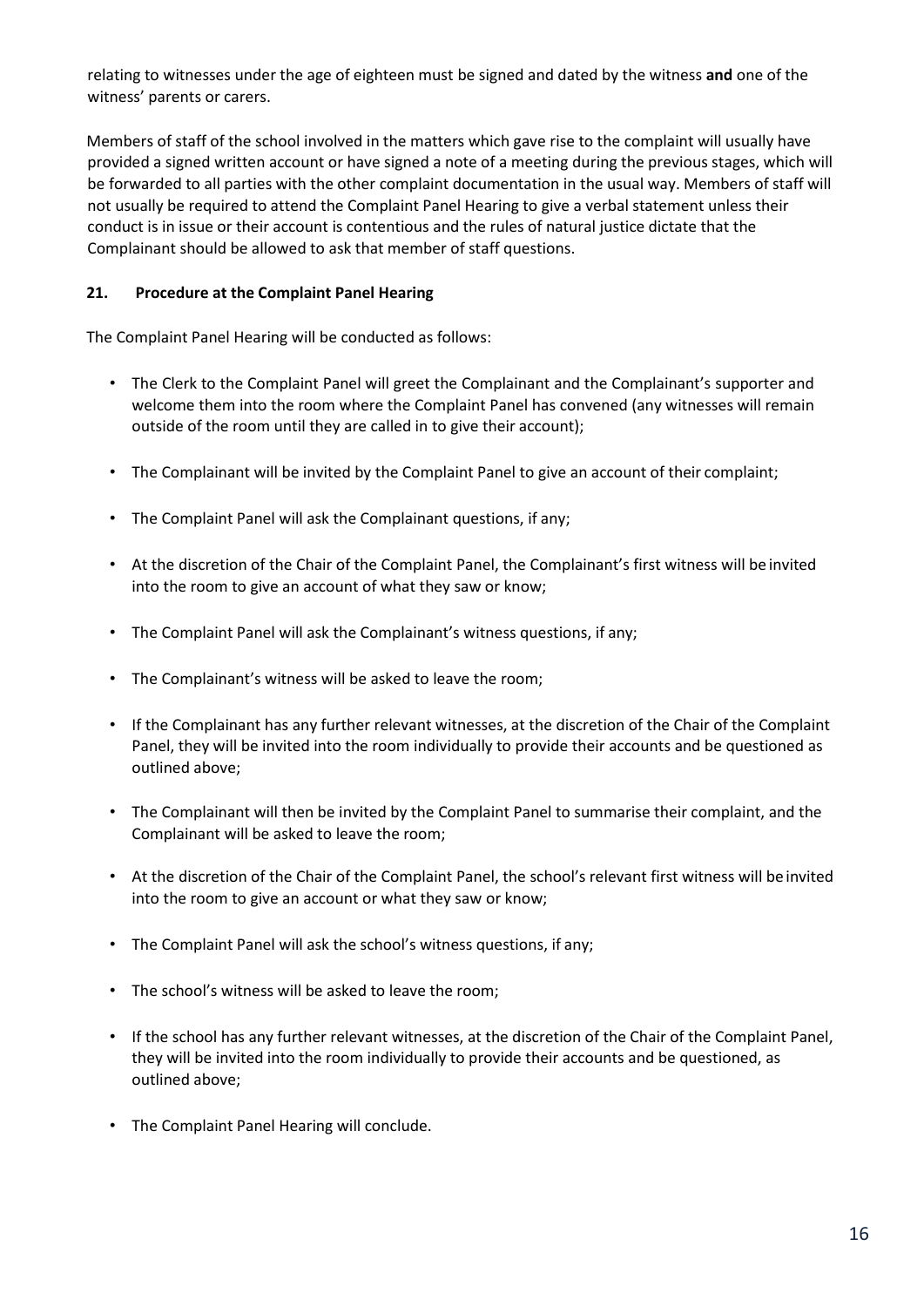relating to witnesses under the age of eighteen must be signed and dated by the witness **and** one of the witness' parents or carers.

Members of staff of the school involved in the matters which gave rise to the complaint will usually have provided a signed written account or have signed a note of a meeting during the previous stages, which will be forwarded to all parties with the other complaint documentation in the usual way. Members of staff will not usually be required to attend the Complaint Panel Hearing to give a verbal statement unless their conduct is in issue or their account is contentious and the rules of natural justice dictate that the Complainant should be allowed to ask that member of staff questions.

#### **21. Procedure at the Complaint Panel Hearing**

The Complaint Panel Hearing will be conducted as follows:

- The Clerk to the Complaint Panel will greet the Complainant and the Complainant's supporter and welcome them into the room where the Complaint Panel has convened (any witnesses will remain outside of the room until they are called in to give their account);
- The Complainant will be invited by the Complaint Panel to give an account of their complaint;
- The Complaint Panel will ask the Complainant questions, if any;
- At the discretion of the Chair of the Complaint Panel, the Complainant's first witness will be invited into the room to give an account of what they saw or know;
- The Complaint Panel will ask the Complainant's witness questions, if any;
- The Complainant's witness will be asked to leave the room;
- If the Complainant has any further relevant witnesses, at the discretion of the Chair of the Complaint Panel, they will be invited into the room individually to provide their accounts and be questioned as outlined above;
- The Complainant will then be invited by the Complaint Panel to summarise their complaint, and the Complainant will be asked to leave the room;
- At the discretion of the Chair of the Complaint Panel, the school's relevant first witness will be invited into the room to give an account or what they saw or know;
- The Complaint Panel will ask the school's witness questions, if any;
- The school's witness will be asked to leave the room;
- If the school has any further relevant witnesses, at the discretion of the Chair of the Complaint Panel, they will be invited into the room individually to provide their accounts and be questioned, as outlined above;
- The Complaint Panel Hearing will conclude.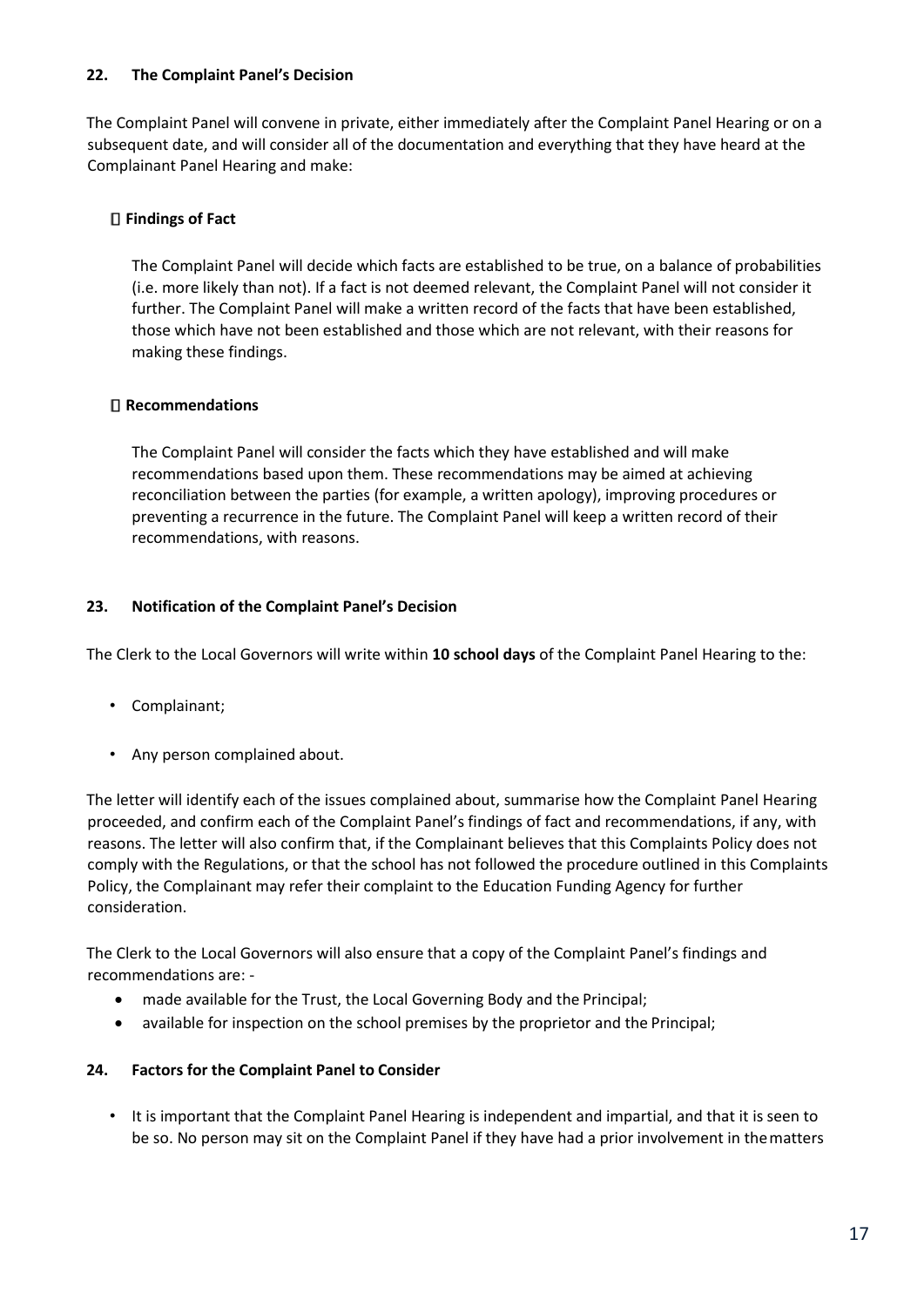#### **22. The Complaint Panel's Decision**

The Complaint Panel will convene in private, either immediately after the Complaint Panel Hearing or on a subsequent date, and will consider all of the documentation and everything that they have heard at the Complainant Panel Hearing and make:

#### **Findings of Fact**

The Complaint Panel will decide which facts are established to be true, on a balance of probabilities (i.e. more likely than not). If a fact is not deemed relevant, the Complaint Panel will not consider it further. The Complaint Panel will make a written record of the facts that have been established, those which have not been established and those which are not relevant, with their reasons for making these findings.

#### **Recommendations**

The Complaint Panel will consider the facts which they have established and will make recommendations based upon them. These recommendations may be aimed at achieving reconciliation between the parties (for example, a written apology), improving procedures or preventing a recurrence in the future. The Complaint Panel will keep a written record of their recommendations, with reasons.

#### **23. Notification of the Complaint Panel's Decision**

The Clerk to the Local Governors will write within **10 school days** of the Complaint Panel Hearing to the:

- Complainant;
- Any person complained about.

The letter will identify each of the issues complained about, summarise how the Complaint Panel Hearing proceeded, and confirm each of the Complaint Panel's findings of fact and recommendations, if any, with reasons. The letter will also confirm that, if the Complainant believes that this Complaints Policy does not comply with the Regulations, or that the school has not followed the procedure outlined in this Complaints Policy, the Complainant may refer their complaint to the Education Funding Agency for further consideration.

The Clerk to the Local Governors will also ensure that a copy of the Complaint Panel's findings and recommendations are: -

- made available for the Trust, the Local Governing Body and the Principal;
- available for inspection on the school premises by the proprietor and the Principal;

#### **24. Factors for the Complaint Panel to Consider**

• It is important that the Complaint Panel Hearing is independent and impartial, and that it is seen to be so. No person may sit on the Complaint Panel if they have had a prior involvement in thematters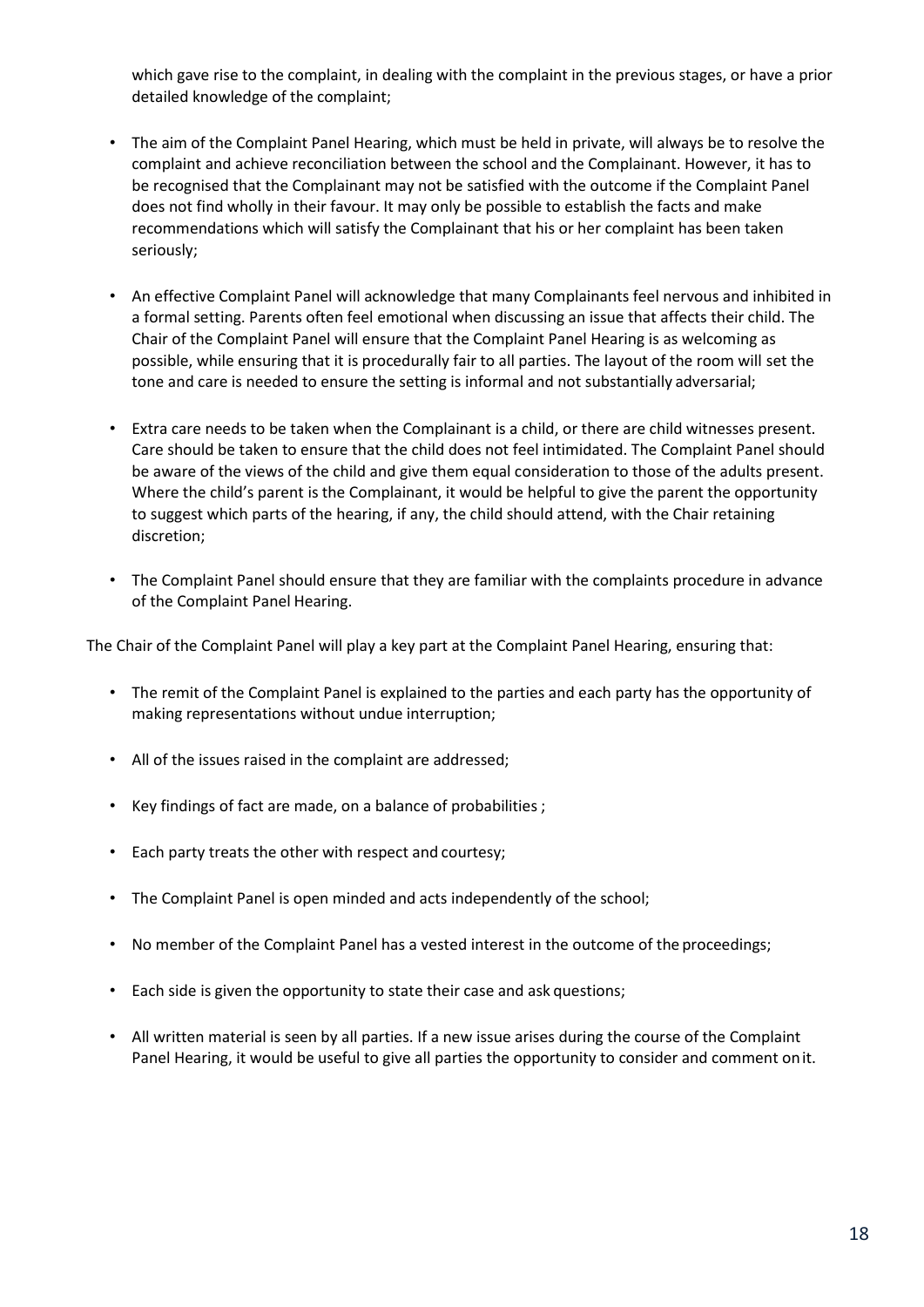which gave rise to the complaint, in dealing with the complaint in the previous stages, or have a prior detailed knowledge of the complaint;

- The aim of the Complaint Panel Hearing, which must be held in private, will always be to resolve the complaint and achieve reconciliation between the school and the Complainant. However, it has to be recognised that the Complainant may not be satisfied with the outcome if the Complaint Panel does not find wholly in their favour. It may only be possible to establish the facts and make recommendations which will satisfy the Complainant that his or her complaint has been taken seriously;
- An effective Complaint Panel will acknowledge that many Complainants feel nervous and inhibited in a formal setting. Parents often feel emotional when discussing an issue that affects their child. The Chair of the Complaint Panel will ensure that the Complaint Panel Hearing is as welcoming as possible, while ensuring that it is procedurally fair to all parties. The layout of the room will set the tone and care is needed to ensure the setting is informal and not substantially adversarial;
- Extra care needs to be taken when the Complainant is a child, or there are child witnesses present. Care should be taken to ensure that the child does not feel intimidated. The Complaint Panel should be aware of the views of the child and give them equal consideration to those of the adults present. Where the child's parent is the Complainant, it would be helpful to give the parent the opportunity to suggest which parts of the hearing, if any, the child should attend, with the Chair retaining discretion;
- The Complaint Panel should ensure that they are familiar with the complaints procedure in advance of the Complaint Panel Hearing.

The Chair of the Complaint Panel will play a key part at the Complaint Panel Hearing, ensuring that:

- The remit of the Complaint Panel is explained to the parties and each party has the opportunity of making representations without undue interruption;
- All of the issues raised in the complaint are addressed;
- Key findings of fact are made, on a balance of probabilities ;
- Each party treats the other with respect and courtesy;
- The Complaint Panel is open minded and acts independently of the school;
- No member of the Complaint Panel has a vested interest in the outcome of the proceedings;
- Each side is given the opportunity to state their case and ask questions;
- All written material is seen by all parties. If a new issue arises during the course of the Complaint Panel Hearing, it would be useful to give all parties the opportunity to consider and comment onit.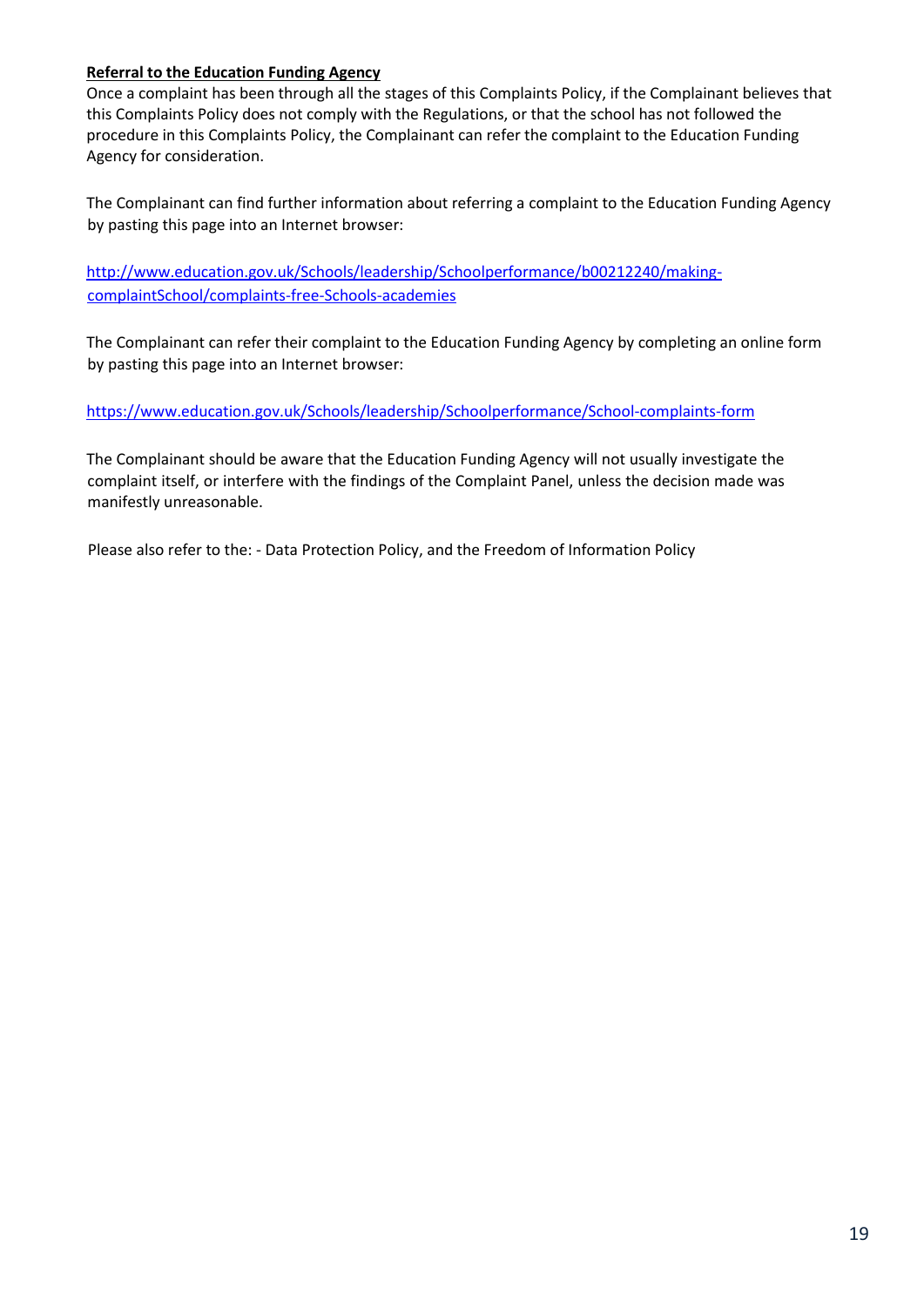#### **Referral to the Education Funding Agency**

Once a complaint has been through all the stages of this Complaints Policy, if the Complainant believes that this Complaints Policy does not comply with the Regulations, or that the school has not followed the procedure in this Complaints Policy, the Complainant can refer the complaint to the Education Funding Agency for consideration.

The Complainant can find further information about referring a complaint to the Education Funding Agency by pasting this page into an Internet browser:

[http://www.education.gov.uk/Schools/leadership/Schoolperformance/b00212240/making](http://www.education.gov.uk/schools/leadership/schoolperformance/b00212240/making-complaint-school/complaints-free-schools-academies)[complaintSchool/complaints-free-Schools-academies](http://www.education.gov.uk/schools/leadership/schoolperformance/b00212240/making-complaint-school/complaints-free-schools-academies)

The Complainant can refer their complaint to the Education Funding Agency by completing an online form by pasting this page into an Internet browser:

[https://www.education.gov.uk/Schools/leadership/Schoolperformance/School-complaints-form](https://www.education.gov.uk/schools/leadership/schoolperformance/school-complaints-form)

The Complainant should be aware that the Education Funding Agency will not usually investigate the complaint itself, or interfere with the findings of the Complaint Panel, unless the decision made was manifestly unreasonable.

Please also refer to the: - Data Protection Policy, and the Freedom of Information Policy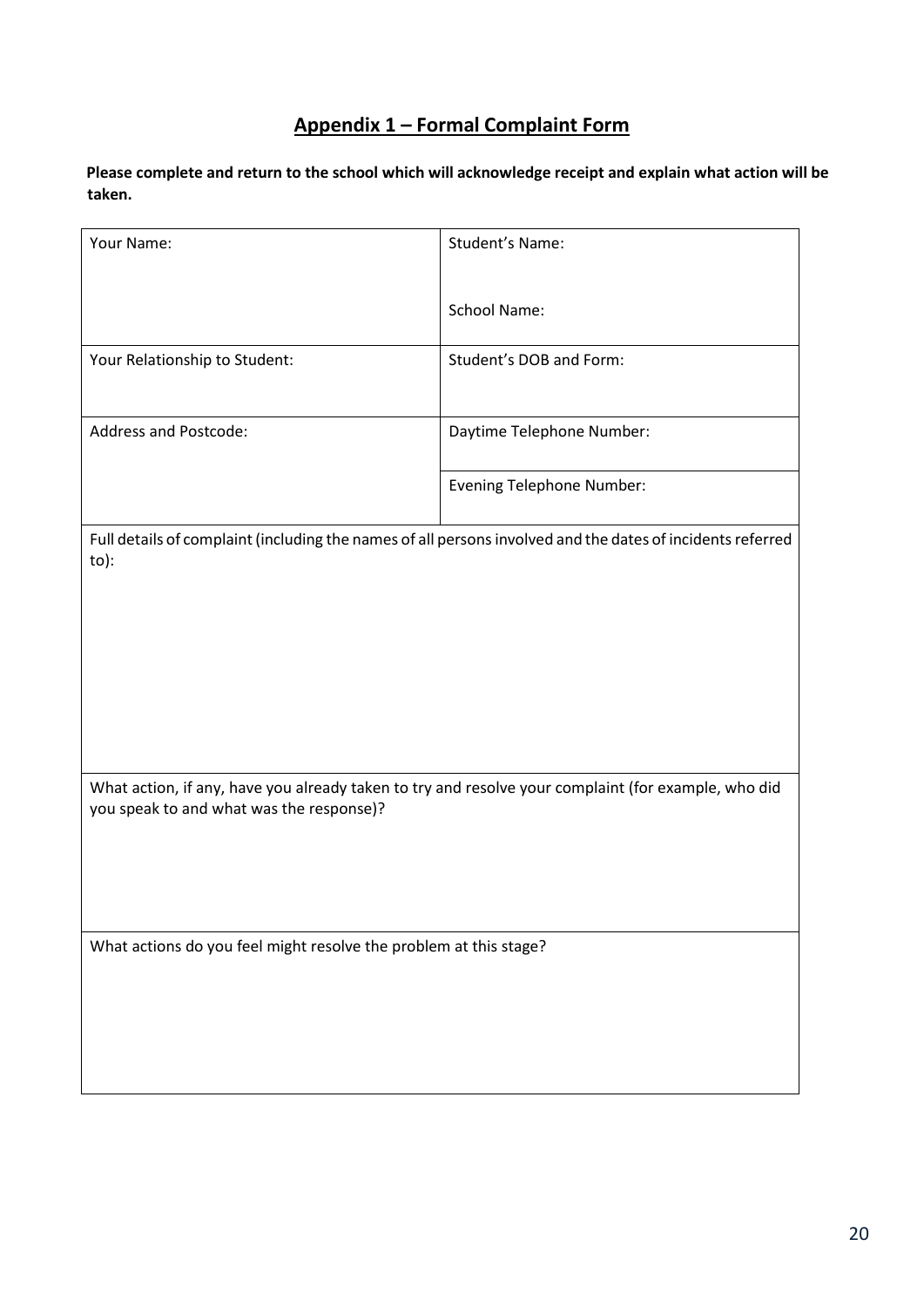### **Appendix 1 – Formal Complaint Form**

**Please complete and return to the school which will acknowledge receipt and explain what action will be taken.**

| Your Name:                                                                                                                                      | Student's Name:                  |
|-------------------------------------------------------------------------------------------------------------------------------------------------|----------------------------------|
|                                                                                                                                                 |                                  |
|                                                                                                                                                 | <b>School Name:</b>              |
| Your Relationship to Student:                                                                                                                   | Student's DOB and Form:          |
|                                                                                                                                                 |                                  |
| <b>Address and Postcode:</b>                                                                                                                    | Daytime Telephone Number:        |
|                                                                                                                                                 | <b>Evening Telephone Number:</b> |
|                                                                                                                                                 |                                  |
| Full details of complaint (including the names of all persons involved and the dates of incidents referred<br>to):                              |                                  |
|                                                                                                                                                 |                                  |
|                                                                                                                                                 |                                  |
|                                                                                                                                                 |                                  |
|                                                                                                                                                 |                                  |
|                                                                                                                                                 |                                  |
|                                                                                                                                                 |                                  |
| What action, if any, have you already taken to try and resolve your complaint (for example, who did<br>you speak to and what was the response)? |                                  |
|                                                                                                                                                 |                                  |
|                                                                                                                                                 |                                  |
|                                                                                                                                                 |                                  |
| What actions do you feel might resolve the problem at this stage?                                                                               |                                  |
|                                                                                                                                                 |                                  |
|                                                                                                                                                 |                                  |
|                                                                                                                                                 |                                  |
|                                                                                                                                                 |                                  |